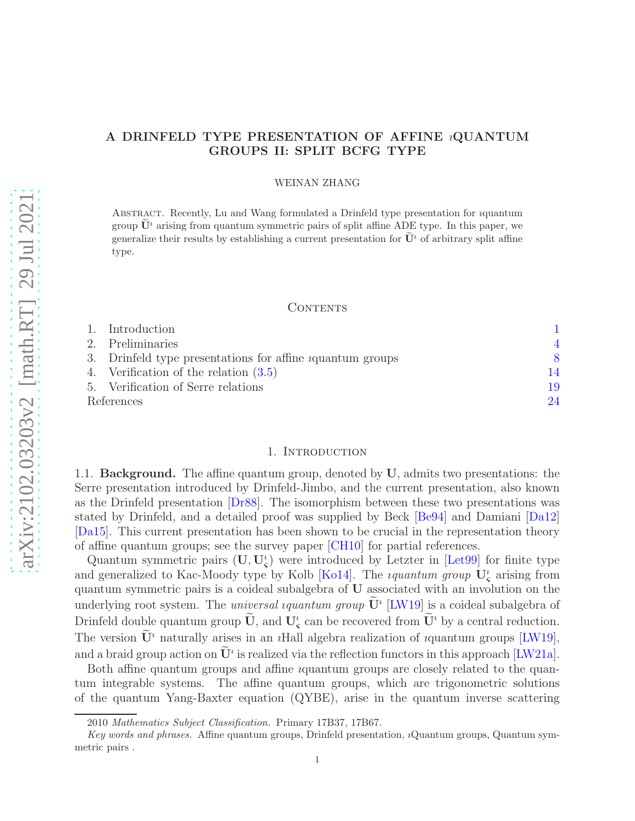# A DRINFELD TYPE PRESENTATION OF AFFINE ıQUANTUM GROUPS II: SPLIT BCFG TYPE

### WEINAN ZHANG

Abstract. Recently, Lu and Wang formulated a Drinfeld type presentation for ıquantum group  $\mathbf{U}^i$  arising from quantum symmetric pairs of split affine ADE type. In this paper, we generalize their results by establishing a current presentation for  $\mathbf{U}^i$  of arbitrary split affine type.

## CONTENTS

|            | 1. Introduction                                                   |    |
|------------|-------------------------------------------------------------------|----|
|            | 2. Preliminaries                                                  |    |
|            | 3. Drinfeld type presentations for affine <i>i</i> quantum groups |    |
|            | 4. Verification of the relation $(3.5)$                           | 14 |
|            | 5. Verification of Serre relations                                | 19 |
| References |                                                                   | 24 |

## 1. INTRODUCTION

<span id="page-0-0"></span>1.1. **Background.** The affine quantum group, denoted by  $U$ , admits two presentations: the Serre presentation introduced by Drinfeld-Jimbo, and the current presentation, also known as the Drinfeld presentation [\[Dr88\]](#page-24-0). The isomorphism between these two presentations was stated by Drinfeld, and a detailed proof was supplied by Beck [\[Be94\]](#page-23-1) and Damiani [\[Da12\]](#page-24-1) [\[Da15\]](#page-24-2). This current presentation has been shown to be crucial in the representation theory of affine quantum groups; see the survey paper [\[CH10\]](#page-24-3) for partial references.

Quantum symmetric pairs  $(U, U<sub>s</sub><sup>i</sup>)$  were introduced by Letzter in [Let<sub>99</sub>] for finite type and generalized to Kac-Moody type by Kolb [\[Ko14\]](#page-24-5). The *iquantum group*  $\mathbf{U}_{\boldsymbol{\varsigma}}^i$  arising from quantum symmetric pairs is a coideal subalgebra of U associated with an involution on the underlying root system. The *universal iquantum group*  $\dot{\mathbf{U}}$ <sup>*i*</sup> [\[LW19\]](#page-24-6) is a coideal subalgebra of Drinfeld double quantum group  $\dot{\mathbf{U}}$ , and  $\mathbf{U}_{\zeta}^{i}$  can be recovered from  $\dot{\mathbf{U}}^{i}$  by a central reduction. The version  $\widetilde{\mathbf{U}}^i$  naturally arises in an *i*Hall algebra realization of *i*quantum groups [\[LW19\]](#page-24-6), and a braid group action on  $\bar{U}^i$  is realized via the reflection functors in this approach [\[LW21a\]](#page-24-7).

Both affine quantum groups and affine ıquantum groups are closely related to the quantum integrable systems. The affine quantum groups, which are trigonometric solutions of the quantum Yang-Baxter equation (QYBE), arise in the quantum inverse scattering

<sup>2010</sup> Mathematics Subject Classification. Primary 17B37, 17B67.

Key words and phrases. Affine quantum groups, Drinfeld presentation, ıQuantum groups, Quantum symmetric pairs .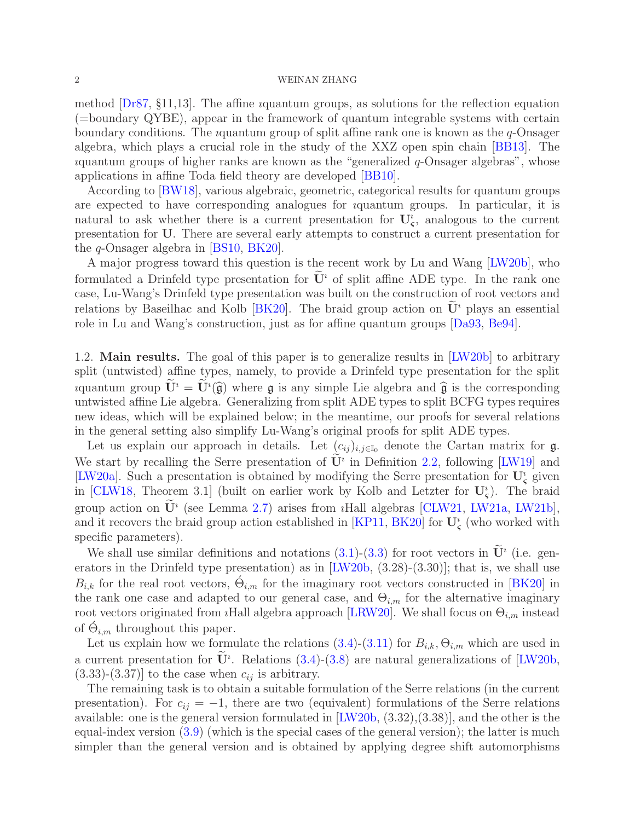method [\[Dr87,](#page-24-8) §11,13]. The affine ıquantum groups, as solutions for the reflection equation (=boundary QYBE), appear in the framework of quantum integrable systems with certain boundary conditions. The *i*quantum group of split affine rank one is known as the  $q$ -Onsager algebra, which plays a crucial role in the study of the XXZ open spin chain [\[BB13\]](#page-23-2). The  $u$ quantum groups of higher ranks are known as the "generalized  $q$ -Onsager algebras", whose applications in affine Toda field theory are developed [\[BB10\]](#page-23-3).

According to [\[BW18\]](#page-24-9), various algebraic, geometric, categorical results for quantum groups are expected to have corresponding analogues for ıquantum groups. In particular, it is natural to ask whether there is a current presentation for  $U_{\varsigma}^i$ , analogous to the current presentation for U. There are several early attempts to construct a current presentation for the q-Onsager algebra in [\[BS10,](#page-23-4) [BK20\]](#page-23-5).

A major progress toward this question is the recent work by Lu and Wang [\[LW20b\]](#page-24-10), who formulated a Drinfeld type presentation for  $\mathbf{U}^i$  of split affine ADE type. In the rank one case, Lu-Wang's Drinfeld type presentation was built on the construction of root vectors and relations by Baseilhac and Kolb [\[BK20\]](#page-23-5). The braid group action on  $\mathbf{U}^i$  plays an essential role in Lu and Wang's construction, just as for affine quantum groups [\[Da93,](#page-24-11) [Be94\]](#page-23-1).

1.2. Main results. The goal of this paper is to generalize results in [\[LW20b\]](#page-24-10) to arbitrary split (untwisted) affine types, namely, to provide a Drinfeld type presentation for the split quantum group  $\mathbf{U}^i = \mathbf{U}^i(\hat{\mathfrak{g}})$  where  $\mathfrak{g}$  is any simple Lie algebra and  $\hat{\mathfrak{g}}$  is the corresponding untwisted affine Lie algebra. Generalizing from split ADE types to split BCFG types requires new ideas, which will be explained below; in the meantime, our proofs for several relations in the general setting also simplify Lu-Wang's original proofs for split ADE types.

Let us explain our approach in details. Let  $(c_{ij})_{i,j\in\mathbb{I}_0}$  denote the Cartan matrix for  $\mathfrak{g}$ . We start by recalling the Serre presentation of  $\mathbf{U}^i$  in Definition [2.2,](#page-5-0) following [\[LW19\]](#page-24-6) and [\[LW20a\]](#page-24-12). Such a presentation is obtained by modifying the Serre presentation for  $U^i_{\zeta}$  given in [\[CLW18,](#page-24-13) Theorem 3.1] (built on earlier work by Kolb and Letzter for  $U_s^i$ ). The braid group action on  $\mathbf{U}^i$  (see Lemma [2.7\)](#page-6-0) arises from *i*Hall algebras [\[CLW21,](#page-24-14) [LW21a,](#page-24-7) [LW21b\]](#page-24-15), and it recovers the braid group action established in [\[KP11,](#page-24-16) [BK20\]](#page-23-5) for  $\mathbf{U}_{\boldsymbol{\varsigma}}^i$  (who worked with specific parameters).

We shall use similar definitions and notations  $(3.1)-(3.3)$  $(3.1)-(3.3)$  for root vectors in  $\mathbf{U}^i$  (i.e. generators in the Drinfeld type presentation) as in [\[LW20b,](#page-24-10) (3.28)-(3.30)]; that is, we shall use  $B_{i,k}$  for the real root vectors,  $\dot{\Theta}_{i,m}$  for the imaginary root vectors constructed in [\[BK20\]](#page-23-5) in the rank one case and adapted to our general case, and  $\Theta_{i,m}$  for the alternative imaginary root vectors originated from *i*Hall algebra approach [\[LRW20\]](#page-24-17). We shall focus on  $\Theta_{i,m}$  instead of  $\acute{\Theta}_{i,m}$  throughout this paper.

Let us explain how we formulate the relations  $(3.4)-(3.11)$  $(3.4)-(3.11)$  for  $B_{i,k}, \Theta_{i,m}$  which are used in a current presentation for  $\mathbf{U}^i$ . Relations [\(3.4\)](#page-8-2)-[\(3.8\)](#page-8-4) are natural generalizations of [\[LW20b,](#page-24-10)  $(3.33)-(3.37)$ ] to the case when  $c_{ij}$  is arbitrary.

The remaining task is to obtain a suitable formulation of the Serre relations (in the current presentation). For  $c_{ij} = -1$ , there are two (equivalent) formulations of the Serre relations available: one is the general version formulated in [\[LW20b,](#page-24-10) (3.32),(3.38)], and the other is the equal-index version [\(3.9\)](#page-8-5) (which is the special cases of the general version); the latter is much simpler than the general version and is obtained by applying degree shift automorphisms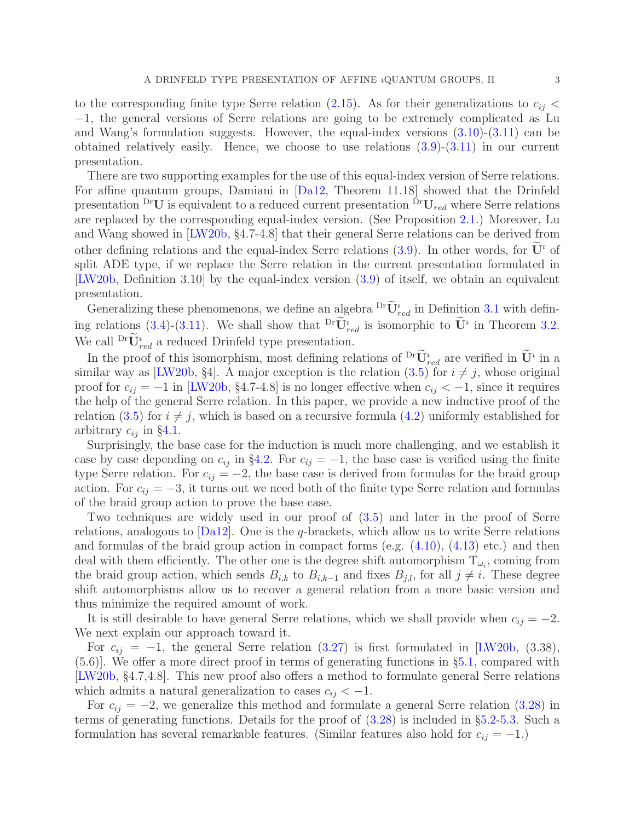to the corresponding finite type Serre relation [\(2.15\)](#page-5-1). As for their generalizations to  $c_{ij}$  < −1, the general versions of Serre relations are going to be extremely complicated as Lu and Wang's formulation suggests. However, the equal-index versions [\(3.10\)](#page-8-6)-[\(3.11\)](#page-8-3) can be obtained relatively easily. Hence, we choose to use relations [\(3.9\)](#page-8-5)-[\(3.11\)](#page-8-3) in our current presentation.

There are two supporting examples for the use of this equal-index version of Serre relations. For affine quantum groups, Damiani in [\[Da12,](#page-24-1) Theorem 11.18] showed that the Drinfeld presentation  $\mathrm{^{Dr}U}$  is equivalent to a reduced current presentation  $\mathrm{^{Dr}U}_{red}$  where Serre relations are replaced by the corresponding equal-index version. (See Proposition [2.1.](#page-5-2)) Moreover, Lu and Wang showed in [\[LW20b,](#page-24-10) §4.7-4.8] that their general Serre relations can be derived from other defining relations and the equal-index Serre relations [\(3.9\)](#page-8-5). In other words, for  $\tilde{\mathbf{U}}^i$  of split ADE type, if we replace the Serre relation in the current presentation formulated in [\[LW20b,](#page-24-10) Definition 3.10] by the equal-index version [\(3.9\)](#page-8-5) of itself, we obtain an equivalent presentation.

Generalizing these phenomenons, we define an algebra  $\frac{\text{Dr}_{U_{red}}}{\sim}$  in Definition [3.1](#page-8-7) with defin-ing relations [\(3.4\)](#page-8-2)-[\(3.11\)](#page-8-3). We shall show that  ${}^{Dr}\mathbf{U}^i_{red}$  is isomorphic to  $\mathbf{U}^i$  in Theorem [3.2.](#page-8-8) We call  $\text{Dr}\overline{\mathbf{U}}_{red}^{i}$  a reduced Drinfeld type presentation.

In the proof of this isomorphism, most defining relations of  $\mathbf{U}_{red}^i$  are verified in  $\mathbf{U}^i$  in a similar way as [\[LW20b,](#page-24-10) §4]. A major exception is the relation  $(3.5)$  for  $i \neq j$ , whose original proof for  $c_{ij} = -1$  in [\[LW20b,](#page-24-10) §4.7-4.8] is no longer effective when  $c_{ij} < -1$ , since it requires the help of the general Serre relation. In this paper, we provide a new inductive proof of the relation [\(3.5\)](#page-8-0) for  $i \neq j$ , which is based on a recursive formula [\(4.2\)](#page-14-0) uniformly established for arbitrary  $c_{ij}$  in §[4.1.](#page-14-1)

Surprisingly, the base case for the induction is much more challenging, and we establish it case by case depending on  $c_{ij}$  in §[4.2.](#page-15-0) For  $c_{ij} = -1$ , the base case is verified using the finite type Serre relation. For  $c_{ij} = -2$ , the base case is derived from formulas for the braid group action. For  $c_{ij} = -3$ , it turns out we need both of the finite type Serre relation and formulas of the braid group action to prove the base case.

Two techniques are widely used in our proof of [\(3.5\)](#page-8-0) and later in the proof of Serre relations, analogous to [\[Da12\]](#page-24-1). One is the q-brackets, which allow us to write Serre relations and formulas of the braid group action in compact forms (e.g. [\(4.10\)](#page-15-1), [\(4.13\)](#page-16-0) etc.) and then deal with them efficiently. The other one is the degree shift automorphism  $T_{\omega_i}$ , coming from the braid group action, which sends  $B_{i,k}$  to  $B_{i,k-1}$  and fixes  $B_{j,l}$ , for all  $j \neq i$ . These degree shift automorphisms allow us to recover a general relation from a more basic version and thus minimize the required amount of work.

It is still desirable to have general Serre relations, which we shall provide when  $c_{ij} = -2$ . We next explain our approach toward it.

For  $c_{ij} = -1$ , the general Serre relation [\(3.27\)](#page-11-0) is first formulated in [\[LW20b,](#page-24-10) (3.38), (5.6)]. We offer a more direct proof in terms of generating functions in §[5.1,](#page-18-1) compared with [\[LW20b,](#page-24-10) §4.7,4.8]. This new proof also offers a method to formulate general Serre relations which admits a natural generalization to cases  $c_{ij} < -1$ .

For  $c_{ij} = -2$ , we generalize this method and formulate a general Serre relation [\(3.28\)](#page-11-1) in terms of generating functions. Details for the proof of [\(3.28\)](#page-11-1) is included in §[5.2-](#page-20-0)[5.3.](#page-22-0) Such a formulation has several remarkable features. (Similar features also hold for  $c_{ij} = -1$ .)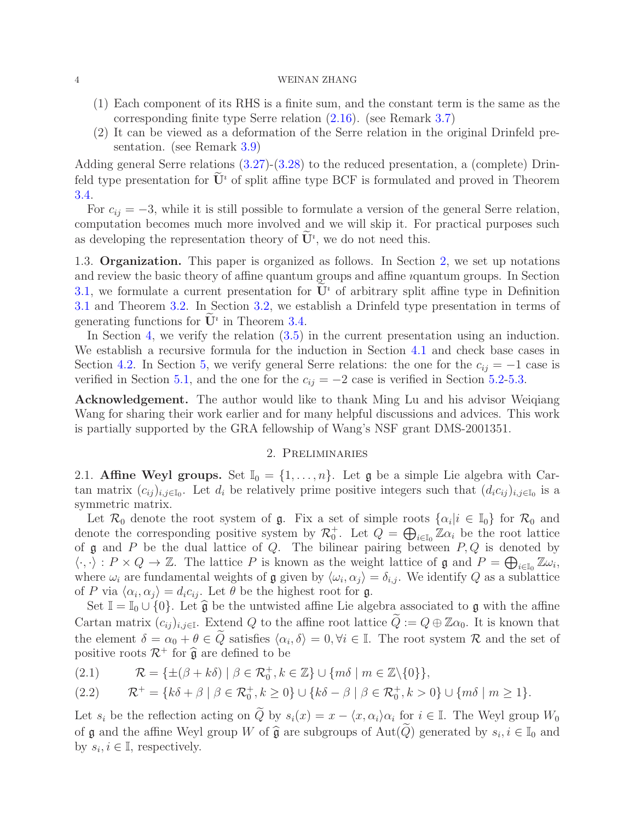- (1) Each component of its RHS is a finite sum, and the constant term is the same as the corresponding finite type Serre relation [\(2.16\)](#page-5-3). (see Remark [3.7\)](#page-12-0)
- (2) It can be viewed as a deformation of the Serre relation in the original Drinfeld presentation. (see Remark [3.9\)](#page-12-1)

Adding general Serre relations [\(3.27\)](#page-11-0)-[\(3.28\)](#page-11-1) to the reduced presentation, a (complete) Drinfeld type presentation for  $\mathbf{U}^i$  of split affine type BCF is formulated and proved in Theorem [3.4.](#page-11-2)

For  $c_{ij} = -3$ , while it is still possible to formulate a version of the general Serre relation, computation becomes much more involved and we will skip it. For practical purposes such as developing the representation theory of  $\mathbf{U}^i$ , we do not need this.

1.3. Organization. This paper is organized as follows. In Section [2,](#page-3-0) we set up notations and review the basic theory of affine quantum groups and affine ıquantum groups. In Section [3.1,](#page-7-2) we formulate a current presentation for  $\mathbf{U}^i$  of arbitrary split affine type in Definition [3.1](#page-8-7) and Theorem [3.2.](#page-8-8) In Section [3.2,](#page-10-0) we establish a Drinfeld type presentation in terms of generating functions for  $\mathbf{U}^i$  in Theorem [3.4.](#page-11-2)

In Section [4,](#page-13-0) we verify the relation  $(3.5)$  in the current presentation using an induction. We establish a recursive formula for the induction in Section [4.1](#page-14-1) and check base cases in Section [4.2.](#page-15-0) In Section [5,](#page-18-0) we verify general Serre relations: the one for the  $c_{ij} = -1$  case is verified in Section [5.1,](#page-18-1) and the one for the  $c_{ij} = -2$  case is verified in Section [5.2](#page-20-0)[-5.3.](#page-22-0)

Acknowledgement. The author would like to thank Ming Lu and his advisor Weiqiang Wang for sharing their work earlier and for many helpful discussions and advices. This work is partially supported by the GRA fellowship of Wang's NSF grant DMS-2001351.

## 2. Preliminaries

<span id="page-3-0"></span>2.1. Affine Weyl groups. Set  $\mathbb{I}_0 = \{1, \ldots, n\}$ . Let g be a simple Lie algebra with Cartan matrix  $(c_{ij})_{i,j\in\mathbb{I}_0}$ . Let  $d_i$  be relatively prime positive integers such that  $(d_i c_{ij})_{i,j\in\mathbb{I}_0}$  is a symmetric matrix.

Let  $\mathcal{R}_0$  denote the root system of  $\mathfrak{g}$ . Fix a set of simple roots  $\{\alpha_i | i \in \mathbb{I}_0\}$  for  $\mathcal{R}_0$  and denote the corresponding positive system by  $\mathcal{R}_0^+$ . Let  $Q = \bigoplus_{i \in I_0} \mathbb{Z} \alpha_i$  be the root lattice of  $\mathfrak g$  and  $P$  be the dual lattice of  $Q$ . The bilinear pairing between  $P, Q$  is denoted by  $\langle \cdot, \cdot \rangle : P \times Q \to \mathbb{Z}$ . The lattice P is known as the weight lattice of  $\mathfrak{g}$  and  $P = \bigoplus_{i \in I_0} \mathbb{Z} \omega_i$ , where  $\omega_i$  are fundamental weights of **g** given by  $\langle \omega_i, \alpha_j \rangle = \delta_{i,j}$ . We identify Q as a sublattice of P via  $\langle \alpha_i, \alpha_j \rangle = d_i c_{ij}$ . Let  $\theta$  be the highest root for g.

Set  $\mathbb{I} = \mathbb{I}_0 \cup \{0\}$ . Let  $\hat{\mathfrak{g}}$  be the untwisted affine Lie algebra associated to g with the affine Cartan matrix  $(c_{ij})_{i,j\in\mathbb{I}}$ . Extend Q to the affine root lattice  $Q:=Q\oplus\mathbb{Z}\alpha_0$ . It is known that the element  $\delta = \alpha_0 + \theta \in Q$  satisfies  $\langle \alpha_i, \delta \rangle = 0, \forall i \in \mathbb{I}$ . The root system  $\mathcal{R}$  and the set of positive roots  $\mathcal{R}^+$  for  $\widehat{\mathfrak{g}}$  are defined to be

(2.1)  $\mathcal{R} = \{ \pm (\beta + k\delta) \mid \beta \in \mathcal{R}_0^+, k \in \mathbb{Z} \} \cup \{ m\delta \mid m \in \mathbb{Z} \setminus \{0\} \},\$ 

$$
(2.2) \t\mathcal{R}^+ = \{k\delta + \beta \mid \beta \in \mathcal{R}_0^+, k \ge 0\} \cup \{k\delta - \beta \mid \beta \in \mathcal{R}_0^+, k > 0\} \cup \{m\delta \mid m \ge 1\}.
$$

Let  $s_i$  be the reflection acting on Q by  $s_i(x) = x - \langle x, \alpha_i \rangle \alpha_i$  for  $i \in \mathbb{I}$ . The Weyl group  $W_0$ of  $\mathfrak g$  and the affine Weyl group W of  $\widehat{\mathfrak g}$  are subgroups of Aut(Q) generated by  $s_i, i \in \mathbb I_0$  and by  $s_i, i \in \mathbb{I}$ , respectively.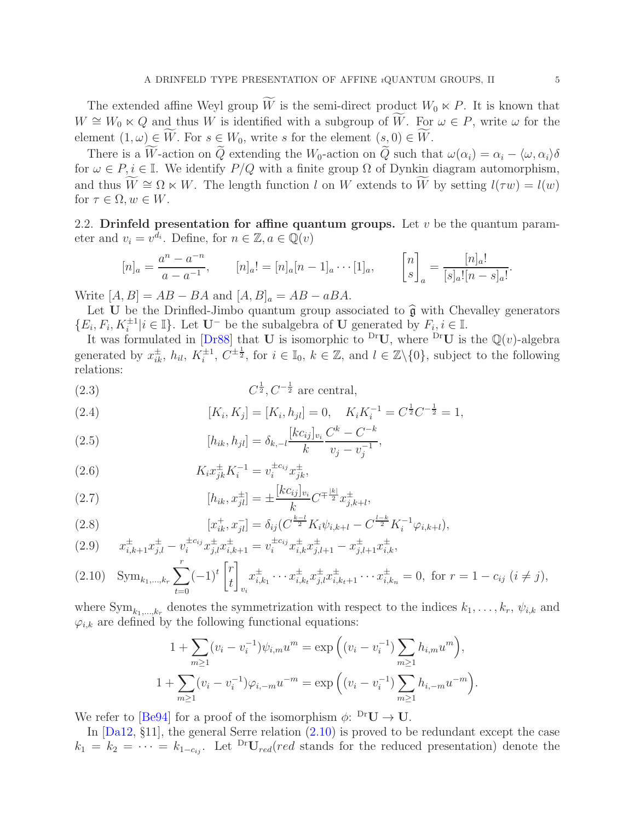The extended affine Weyl group  $\widetilde{W}$  is the semi-direct product  $W_0 \ltimes P$ . It is known that  $W \cong W_0 \ltimes Q$  and thus W is identified with a subgroup of  $\widetilde{W}$ . For  $\omega \in P$ , write  $\omega$  for the element  $(1,\omega) \in \widetilde{W}$ . For  $s \in W_0$ , write s for the element  $(s,0) \in \widetilde{W}$ .

There is a W-action on  $\tilde{Q}$  extending the W<sub>0</sub>-action on  $\tilde{Q}$  such that  $\omega(\alpha_i) = \alpha_i - \langle \omega, \alpha_i \rangle \delta$ for  $\omega \in P, i \in \mathbb{I}$ . We identify  $P/Q$  with a finite group  $\Omega$  of Dynkin diagram automorphism, and thus  $\widetilde{W} \cong \Omega \ltimes W$ . The length function l on W extends to  $\widetilde{W}$  by setting  $l(\tau w) = l(w)$ for  $\tau \in \Omega, w \in W$ .

2.2. Drinfeld presentation for affine quantum groups. Let  $v$  be the quantum parameter and  $v_i = v^{d_i}$ . Define, for  $n \in \mathbb{Z}, a \in \mathbb{Q}(v)$ 

$$
[n]_a = \frac{a^n - a^{-n}}{a - a^{-1}}, \qquad [n]_a! = [n]_a [n-1]_a \cdots [1]_a, \qquad \begin{bmatrix} n \\ s \end{bmatrix}_a = \frac{[n]_a!}{[s]_a! [n-s]_a!}.
$$

Write  $[A, B] = AB - BA$  and  $[A, B]_a = AB - aBA$ .

Let U be the Drinfled-Jimbo quantum group associated to  $\hat{\mathfrak{g}}$  with Chevalley generators  $\{E_i, F_i, K_i^{\pm 1} | i \in \mathbb{I}\}\.$  Let  $\mathbf{U}^-$  be the subalgebra of  $\mathbf{U}$  generated by  $F_i, i \in \mathbb{I}\.$ 

It was formulated in [\[Dr88\]](#page-24-0) that U is isomorphic to <sup>Dr</sup>U, where <sup>Dr</sup>U is the  $\mathbb{Q}(v)$ -algebra generated by  $x_{ik}^{\pm}$ ,  $h_{il}$ ,  $K_i^{\pm 1}$ ,  $C^{\pm \frac{1}{2}}$ , for  $i \in \mathbb{I}_0$ ,  $k \in \mathbb{Z}$ , and  $l \in \mathbb{Z}\setminus\{0\}$ , subject to the following relations:

<span id="page-4-1"></span>
$$
(2.3) \tC^{\frac{1}{2}}, C^{-\frac{1}{2}} \text{ are central},
$$

(2.4) 
$$
[K_i, K_j] = [K_i, h_{jl}] = 0, \quad K_i K_i^{-1} = C^{\frac{1}{2}} C^{-\frac{1}{2}} = 1,
$$

$$
[K_{i-1}, K_j] = C^k - C^{-k}
$$

<span id="page-4-3"></span>(2.5) 
$$
[h_{ik}, h_{jl}] = \delta_{k,-l} \frac{[kc_{ij}]_{v_i} C^k - C^{-k}}{k} ,
$$

(2.6) 
$$
K_i x_{jk}^{\pm} K_i^{-1} = v_i^{\pm c_{ij}} x_{jk}^{\pm},
$$

<span id="page-4-4"></span>(2.7) 
$$
[h_{ik}, x_{jl}^{\pm}] = \pm \frac{[kc_{ij}]_{v_i}}{k} C^{\mp \frac{|k|}{2}} x_{j,k+l}^{\pm},
$$

(2.8) 
$$
[x_{ik}^+, x_{jl}^-] = \delta_{ij} (C^{\frac{k-l}{2}} K_i \psi_{i,k+l} - C^{\frac{l-k}{2}} K_i^{-1} \varphi_{i,k+l}),
$$

<span id="page-4-2"></span>
$$
(2.9) \qquad x_{i,k+1}^{\pm} x_{j,l}^{\pm} - v_i^{\pm c_{ij}} x_{j,l}^{\pm} x_{i,k+1}^{\pm} = v_i^{\pm c_{ij}} x_{i,k}^{\pm} x_{j,l+1}^{\pm} - x_{j,l+1}^{\pm} x_{i,k}^{\pm},
$$

<span id="page-4-0"></span>
$$
(2.10) \quad \text{Sym}_{k_1,\dots,k_r} \sum_{t=0}^r (-1)^t \begin{bmatrix} r \\ t \end{bmatrix}_{v_i} x_{i,k_1}^{\pm} \cdots x_{i,k_t}^{\pm} x_{j,l}^{\pm} x_{i,k_t+1}^{\pm} \cdots x_{i,k_n}^{\pm} = 0, \text{ for } r = 1 - c_{ij} \ (i \neq j),
$$

where  $\text{Sym}_{k_1,\dots,k_r}$  denotes the symmetrization with respect to the indices  $k_1,\dots,k_r$ ,  $\psi_{i,k}$  and  $\varphi_{i,k}$  are defined by the following functional equations:

$$
1 + \sum_{m\geq 1} (v_i - v_i^{-1}) \psi_{i,m} u^m = \exp\left( (v_i - v_i^{-1}) \sum_{m\geq 1} h_{i,m} u^m \right),
$$
  

$$
1 + \sum_{m\geq 1} (v_i - v_i^{-1}) \varphi_{i,-m} u^{-m} = \exp\left( (v_i - v_i^{-1}) \sum_{m\geq 1} h_{i,-m} u^{-m} \right).
$$

We refer to [\[Be94\]](#page-23-1) for a proof of the isomorphism  $\phi$ :  $\mathrm{^{Dr}U} \rightarrow \mathrm{U}$ .

In  $[Da12, \S11]$ , the general Serre relation  $(2.10)$  is proved to be redundant except the case  $k_1 = k_2 = \cdots = k_{1-c_{ij}}$ . Let  $\frac{\text{Dr}}{\text{U}}_{red}(red \text{ stands for the reduced presentation})$  denote the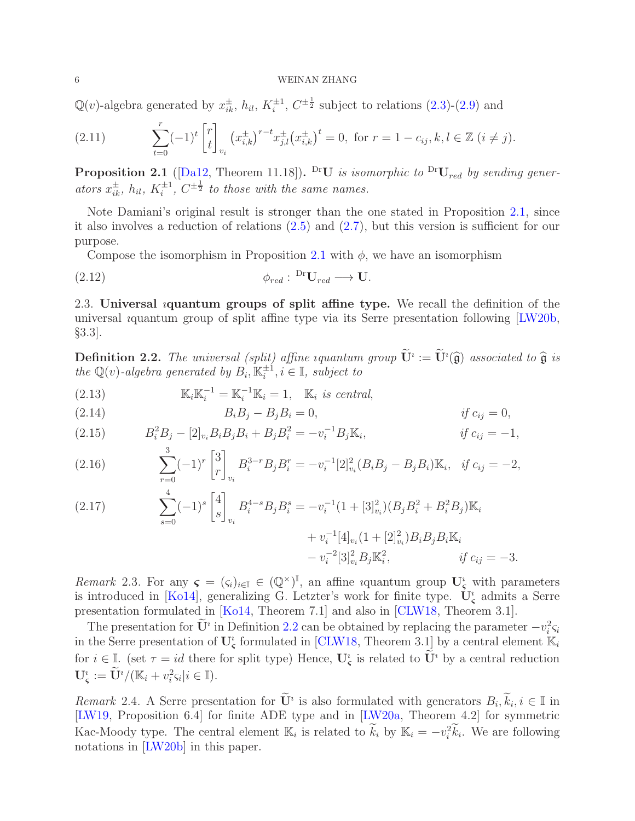$\mathbb{Q}(v)$ -algebra generated by  $x_{ik}^{\pm}$ ,  $h_{il}$ ,  $K_i^{\pm 1}$  $i^{\pm 1}$ ,  $C^{\pm \frac{1}{2}}$  subject to relations  $(2.3)-(2.9)$  $(2.3)-(2.9)$  and

(2.11) 
$$
\sum_{t=0}^{r} (-1)^{t} \begin{bmatrix} r \\ t \end{bmatrix}_{v_{i}} \left( x_{i,k}^{\pm} \right)^{r-t} x_{j,l}^{\pm} \left( x_{i,k}^{\pm} \right)^{t} = 0, \text{ for } r = 1 - c_{ij}, k, l \in \mathbb{Z} \ (i \neq j).
$$

<span id="page-5-2"></span>**Proposition 2.1** ([\[Da12,](#page-24-1) Theorem 11.18]). <sup>Dr</sup>U is isomorphic to <sup>Dr</sup>U<sub>red</sub> by sending generators  $x_{ik}^{\pm}$ ,  $h_{il}$ ,  $K_i^{\pm 1}$ ,  $C^{\pm \frac{1}{2}}$  to those with the same names.

Note Damiani's original result is stronger than the one stated in Proposition [2.1,](#page-5-2) since it also involves a reduction of relations [\(2.5\)](#page-4-3) and [\(2.7\)](#page-4-4), but this version is sufficient for our purpose.

Compose the isomorphism in Proposition [2.1](#page-5-2) with  $\phi$ , we have an isomorphism

$$
\phi_{red}: {}^{\text{Dr}}\mathbf{U}_{red} \longrightarrow \mathbf{U}.
$$

2.3. Universal *i*quantum groups of split affine type. We recall the definition of the universal ıquantum group of split affine type via its Serre presentation following [\[LW20b,](#page-24-10) §3.3].

<span id="page-5-0"></span>**Definition 2.2.** The universal (split) affine iquantum group  $\mathbf{U}^i := \mathbf{U}^i(\widehat{\mathfrak{g}})$  associated to  $\widehat{\mathfrak{g}}$  is the Q(v)-algebra generated by  $B_i$ ,  $\mathbb{K}_i^{\pm 1}$  $\zeta_i^{\pm 1}, i \in \mathbb{I}$ , subject to

(2.13)  $\mathbb{K}_i \mathbb{K}_i^{-1} = \mathbb{K}_i^{-1} \mathbb{K}_i = 1, \quad \mathbb{K}_i \text{ is central,}$ 

<span id="page-5-5"></span>(2.14) 
$$
B_i B_j - B_j B_i = 0, \t\t if c_{ij} = 0,
$$

<span id="page-5-1"></span>(2.15) 
$$
B_i^2 B_j - [2]_{v_i} B_i B_j B_i + B_j B_i^2 = -v_i^{-1} B_j \mathbb{K}_i, \qquad \qquad \text{if } c_{ij} = -1,
$$

<span id="page-5-3"></span>(2.16) 
$$
\sum_{r=0}^{3} (-1)^{r} {3 \brack r}_{v_{i}} B_{i}^{3-r} B_{j} B_{i}^{r} = -v_{i}^{-1} [2]_{v_{i}}^{2} (B_{i} B_{j} - B_{j} B_{i}) \mathbb{K}_{i}, \text{ if } c_{ij} = -2,
$$

<span id="page-5-6"></span>(2.17) 
$$
\sum_{s=0}^{4} (-1)^{s} \begin{bmatrix} 4 \\ s \end{bmatrix}_{v_{i}} B_{i}^{4-s} B_{j} B_{i}^{s} = -v_{i}^{-1} (1 + [3]_{v_{i}}^{2}) (B_{j} B_{i}^{2} + B_{i}^{2} B_{j}) \mathbb{K}_{i} + v_{i}^{-1} [4]_{v_{i}} (1 + [2]_{v_{i}}^{2}) B_{i} B_{j} B_{i} \mathbb{K}_{i} - v_{i}^{-2} [3]_{v_{i}}^{2} B_{j} \mathbb{K}_{i}^{2}, \qquad \text{if } c_{ij} = -3.
$$

<span id="page-5-4"></span>Remark 2.3. For any  $\boldsymbol{\varsigma} = (\varsigma_i)_{i \in \mathbb{I}} \in (\mathbb{Q}^{\times})^{\mathbb{I}}$ , an affine *i*quantum group  $\mathbf{U}_{\boldsymbol{\varsigma}}^i$  with parameters is introduced in [\[Ko14\]](#page-24-5), generalizing G. Letzter's work for finite type.  $\dot{\mathbf{U}}_{\boldsymbol{\varsigma}}^i$  admits a Serre presentation formulated in [\[Ko14,](#page-24-5) Theorem 7.1] and also in [\[CLW18,](#page-24-13) Theorem 3.1].

The presentation for  $\mathbf{U}^i$  in Definition [2.2](#page-5-0) can be obtained by replacing the parameter  $-v_i^2 \varsigma_i$ in the Serre presentation of  $\mathbf{U}_{\zeta}^{i}$  formulated in [\[CLW18,](#page-24-13) Theorem 3.1] by a central element  $\mathbb{K}_{i}$ for  $i \in \mathbb{I}$ . (set  $\tau = id$  there for split type) Hence,  $\mathbf{U}_{\varsigma}^{i}$  is related to  $\mathbf{U}^{i}$  by a central reduction  $\mathbf{U}_{\mathsf{s}}^i := \mathbf{U}^i/(\mathbb{K}_i + v_i^2 \varsigma_i | i \in \mathbb{I}).$ 

Remark 2.4. A Serre presentation for  $\mathbf{U}^i$  is also formulated with generators  $B_i, k_i, i \in \mathbb{I}$  in [\[LW19,](#page-24-6) Proposition 6.4] for finite ADE type and in [\[LW20a,](#page-24-12) Theorem 4.2] for symmetric Kac-Moody type. The central element  $\mathbb{K}_i$  is related to  $k_i$  by  $\mathbb{K}_i = -v_i^2 k_i$ . We are following notations in [\[LW20b\]](#page-24-10) in this paper.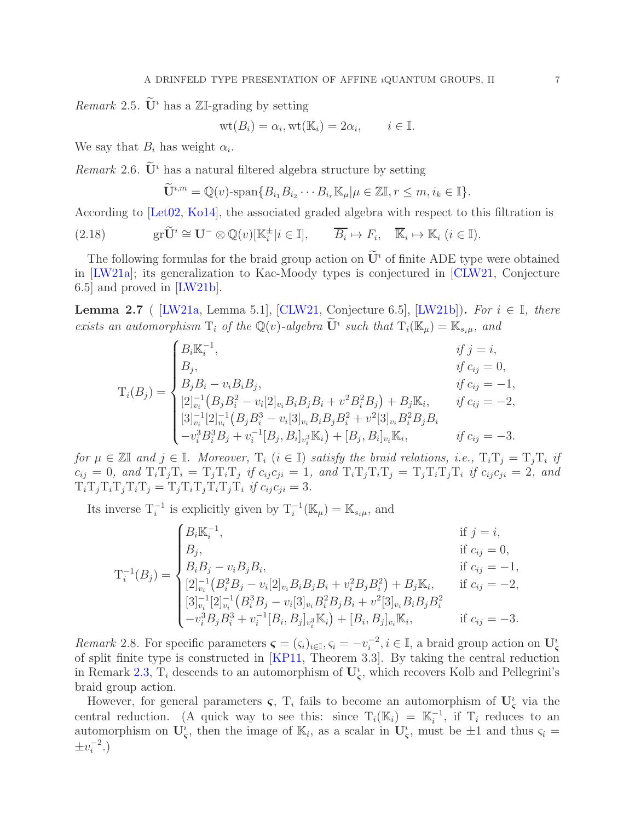<span id="page-6-1"></span>*Remark* 2.5.  $\tilde{\mathbf{U}}^i$  has a ZI-grading by setting

$$
\text{wt}(B_i) = \alpha_i, \text{wt}(\mathbb{K}_i) = 2\alpha_i, \qquad i \in \mathbb{I}.
$$

We say that  $B_i$  has weight  $\alpha_i$ .

*Remark* 2.6.  $\tilde{U}^i$  has a natural filtered algebra structure by setting

$$
\widetilde{\mathbf{U}}^{i,m} = \mathbb{Q}(v) \text{-span}\{B_{i_1}B_{i_2}\cdots B_{i_r}\mathbb{K}_{\mu} | \mu \in \mathbb{Z}\mathbb{I}, r \leq m, i_k \in \mathbb{I}\}.
$$

According to [\[Let02,](#page-24-18) [Ko14\]](#page-24-5), the associated graded algebra with respect to this filtration is

(2.18) 
$$
\text{gr}\widetilde{\mathbf{U}}^i \cong \mathbf{U}^-\otimes \mathbb{Q}(v)[\mathbb{K}_i^{\pm}|i\in \mathbb{I}], \qquad \overline{B_i} \mapsto F_i, \quad \overline{\mathbb{K}}_i \mapsto \mathbb{K}_i \ (i\in \mathbb{I}).
$$

The following formulas for the braid group action on  $\mathbf{U}^i$  of finite ADE type were obtained in [\[LW21a\]](#page-24-7); its generalization to Kac-Moody types is conjectured in [\[CLW21,](#page-24-14) Conjecture 6.5] and proved in [\[LW21b\]](#page-24-15).

<span id="page-6-0"></span>**Lemma 2.7** ( [\[LW21a,](#page-24-7) Lemma 5.1], [\[CLW21,](#page-24-14) Conjecture 6.5], [\[LW21b\]](#page-24-15)). For  $i \in \mathbb{I}$ , there exists an automorphism  $T_i$  of the  $\mathbb{Q}(v)$ -algebra  $\mathbf{U}^i$  such that  $T_i(\mathbb{K}_{\mu}) = \mathbb{K}_{s_i\mu}$ , and

$$
T_{i}(B_{j}) = \begin{cases} B_{i}\mathbb{K}_{i}^{-1}, & if j = i, \\ B_{j}, & if c_{ij} = 0, \\ B_{j}B_{i} - v_{i}B_{i}B_{j}, & if c_{ij} = -1, \\ [2]_{v_{i}}^{-1}(B_{j}B_{i}^{2} - v_{i}[2]_{v_{i}}B_{i}B_{j}B_{i} + v^{2}B_{i}^{2}B_{j}) + B_{j}\mathbb{K}_{i}, & if c_{ij} = -2, \\ [3]_{v_{i}}^{-1}[2]_{v_{i}}^{-1}(B_{j}B_{i}^{3} - v_{i}[3]_{v_{i}}B_{i}B_{j}B_{i}^{2} + v^{2}[3]_{v_{i}}B_{i}^{2}B_{j}B_{i} \\ -v_{i}^{3}B_{i}^{3}B_{j} + v_{i}^{-1}[B_{j}, B_{i}]_{v_{i}}\mathbb{K}_{i}) + [B_{j}, B_{i}]_{v_{i}}\mathbb{K}_{i}, & if c_{ij} = -3. \end{cases}
$$

for  $\mu \in \mathbb{Z} \mathbb{I}$  and  $j \in \mathbb{I}$ . Moreover,  $T_i$   $(i \in \mathbb{I})$  satisfy the braid relations, i.e.,  $T_i T_j = T_j T_i$  if  $c_{ij} = 0$ , and  $T_i T_j T_i = T_j T_i T_j$  if  $c_{ij} c_{ji} = 1$ , and  $T_i T_j T_i T_j = T_j T_i T_j T_i$  if  $c_{ij} c_{ji} = 2$ , and  $T_i T_j T_i T_j T_i T_j = T_j T_i T_j T_i T_j T_i$  if  $c_{ij} c_{ji} = 3$ .

Its inverse  $T_i^{-1}$  is explicitly given by  $T_i^{-1}(\mathbb{K}_{\mu}) = \mathbb{K}_{s_i\mu}$ , and

$$
T_{i}^{-1}(B_{j}) = \begin{cases} B_{i}\mathbb{K}_{i}^{-1}, & \text{if } j = i, \\ B_{j}, & \text{if } c_{ij} = 0, \\ B_{i}B_{j} - v_{i}B_{j}B_{i}, & \text{if } c_{ij} = -1, \\ [2]_{v_{i}}^{-1}(B_{i}^{2}B_{j} - v_{i}[2]_{v_{i}}B_{i}B_{j}B_{i} + v_{i}^{2}B_{j}B_{i}^{2}) + B_{j}\mathbb{K}_{i}, & \text{if } c_{ij} = -2, \\ [3]_{v_{i}}^{-1}[2]_{v_{i}}^{-1}(B_{i}^{3}B_{j} - v_{i}[3]_{v_{i}}B_{i}^{2}B_{j}B_{i} + v^{2}[3]_{v_{i}}B_{i}B_{j}B_{i}^{2} \\ -v_{i}^{3}B_{j}B_{i}^{3} + v_{i}^{-1}[B_{i}, B_{j}]_{v_{i}}\mathbb{K}_{i}) + [B_{i}, B_{j}]_{v_{i}}\mathbb{K}_{i}, & \text{if } c_{ij} = -3. \end{cases}
$$

Remark 2.8. For specific parameters  $\boldsymbol{\varsigma} = (\varsigma_i)_{i \in \mathbb{I}}, \varsigma_i = -v_i^{-2}$  $i^{-2}, i \in \mathbb{I}$ , a braid group action on  $\mathbf{U}_{\mathbf{S}}^i$ of split finite type is constructed in [\[KP11,](#page-24-16) Theorem 3.3]. By taking the central reduction in Remark [2.3,](#page-5-4)  $T_i$  descends to an automorphism of  $U_s^i$ , which recovers Kolb and Pellegrini's braid group action.

However, for general parameters  $\varsigma$ ,  $T_i$  fails to become an automorphism of  $U^i_{\varsigma}$  via the central reduction. (A quick way to see this: since  $T_i(\mathbb{K}_i) = \mathbb{K}_i^{-1}$  $i^{-1}$ , if  $T_i$  reduces to an automorphism on  $\mathbf{U}_{\varsigma}^i$ , then the image of  $\mathbb{K}_i$ , as a scalar in  $\mathbf{U}_{\varsigma}^i$ , must be  $\pm 1$  and thus  $\varsigma_i =$  $\pm v_i^{-2}$  $i^{-2}$ .)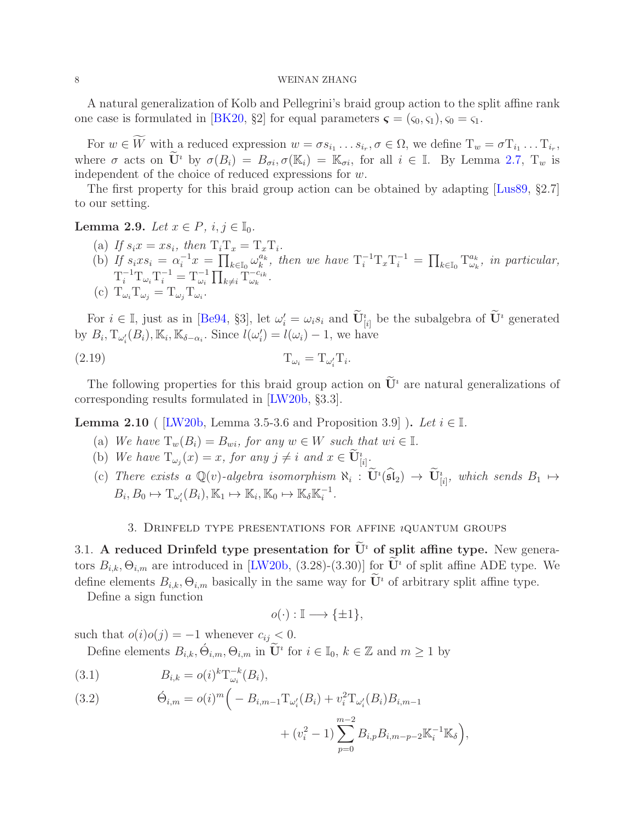A natural generalization of Kolb and Pellegrini's braid group action to the split affine rank one case is formulated in [\[BK20,](#page-23-5) §2] for equal parameters  $\boldsymbol{\varsigma} = (\varsigma_0, \varsigma_1), \varsigma_0 = \varsigma_1$ .

For  $w \in W$  with a reduced expression  $w = \sigma s_{i_1} \dots s_{i_r}, \sigma \in \Omega$ , we define  $T_w = \sigma T_{i_1} \dots T_{i_r}$ , where  $\sigma$  acts on  $\widetilde{\mathbf{U}}^i$  by  $\sigma(B_i) = B_{\sigma i}, \sigma(\mathbb{K}_i) = \mathbb{K}_{\sigma i}$ , for all  $i \in \mathbb{I}$ . By Lemma [2.7,](#page-6-0)  $T_w$  is independent of the choice of reduced expressions for w.

The first property for this braid group action can be obtained by adapting [\[Lus89,](#page-24-19) §2.7] to our setting.

<span id="page-7-4"></span>Lemma 2.9. Let  $x \in P$ ,  $i, j \in \mathbb{I}_0$ .

(a) If  $s_i x = x s_i$ , then  $T_i T_x = T_x T_i$ . (b) If  $s_i x s_i = \alpha_i^{-1} x = \prod_{k \in I_0} \omega_k^{a_k}$  $\int_k^{a_k}$ , then we have  $T_i^{-1}T_xT_i^{-1} = \prod_{k \in \mathbb{I}_0} T_{\omega_k}^{a_k}$  $\overset{a_k}{\omega_k}$ , in particular,  $\mathrm{T}_i^{-1} \mathrm{T}_{\omega_i} \mathrm{T}_i^{-1} = \mathrm{T}_{\omega_i}^{-1} \prod_{k \neq i} \mathrm{T}_{\omega_k}^{-c_{ik}}$  $\frac{-c_{ik}}{\omega_k}$ . (c)  $T_{\omega_i} T_{\omega_j} = T_{\omega_j} T_{\omega_i}$ .

For  $i \in \mathbb{I}$ , just as in [\[Be94,](#page-23-1) §3], let  $\omega'_i = \omega_i s_i$  and  $\mathbf{U}_{[i]}^i$  be the subalgebra of  $\mathbf{U}^i$  generated by  $B_i$ ,  $T_{\omega'_i}(B_i)$ ,  $\mathbb{K}_i$ ,  $\mathbb{K}_{\delta-\alpha_i}$ . Since  $l(\omega'_i) = l(\omega_i) - 1$ , we have

$$
(2.19) \t\t T_{\omega_i} = T_{\omega_i'} T_i.
$$

The following properties for this braid group action on  $\tilde{\mathbf{U}}^i$  are natural generalizations of corresponding results formulated in [\[LW20b,](#page-24-10) §3.3].

<span id="page-7-3"></span>**Lemma 2.10** ( [\[LW20b,](#page-24-10) Lemma 3.5-3.6 and Proposition 3.9] ). Let  $i \in \mathbb{I}$ .

- (a) We have  $T_w(B_i) = B_{wi}$ , for any  $w \in W$  such that  $wi \in \mathbb{I}$ .
- (b) We have  $T_{\omega_j}(x) = x$ , for any  $j \neq i$  and  $x \in \mathbf{U}_{[i]}^i$ .
- (c) There exists a  $\mathbb{Q}(v)$ -algebra isomorphism  $\aleph_i : \mathbf{U}^i(\mathfrak{sl}_2) \to \mathbf{U}_{[i]}^i$ , which sends  $B_1 \mapsto$  $B_i, B_0 \mapsto T_{\omega'_i}(B_i), \mathbb{K}_1 \mapsto \mathbb{K}_i, \mathbb{K}_0 \mapsto \mathbb{K}_\delta \mathbb{K}_i^{-1}$  $\frac{-1}{i}$ .

## 3. DRINFELD TYPE PRESENTATIONS FOR AFFINE  $i$ QUANTUM GROUPS

<span id="page-7-2"></span><span id="page-7-0"></span>3.1. A reduced Drinfeld type presentation for  $\tilde{U}^i$  of split affine type. New generators  $B_{i,k}, \Theta_{i,m}$  are introduced in [\[LW20b,](#page-24-10) (3.28)-(3.30)] for  $\tilde{\mathbf{U}}^i$  of split affine ADE type. We define elements  $B_{i,k}, \Theta_{i,m}$  basically in the same way for  $\widetilde{\mathbf{U}}^i$  of arbitrary split affine type.

Define a sign function

$$
o(\cdot): \mathbb{I} \longrightarrow \{\pm 1\},\
$$

such that  $o(i)o(j) = -1$  whenever  $c_{ij} < 0$ .

Define elements  $B_{i,k}, \acute{\Theta}_{i,m}, \Theta_{i,m}$  in  $\widetilde{\mathbf{U}}^i$  for  $i \in \mathbb{I}_0, k \in \mathbb{Z}$  and  $m \geq 1$  by

<span id="page-7-1"></span>(3.1) 
$$
B_{i,k} = o(i)^{k} T_{\omega_i}^{-k}(B_i),
$$

(3.2) 
$$
\dot{\Theta}_{i,m} = o(i)^m \bigg( -B_{i,m-1} T_{\omega'_i}(B_i) + v_i^2 T_{\omega'_i}(B_i) B_{i,m-1}
$$

+ 
$$
(v_i^2 - 1) \sum_{p=0}^{m-2} B_{i,p} B_{i,m-p-2} \mathbb{K}_i^{-1} \mathbb{K}_\delta
$$
,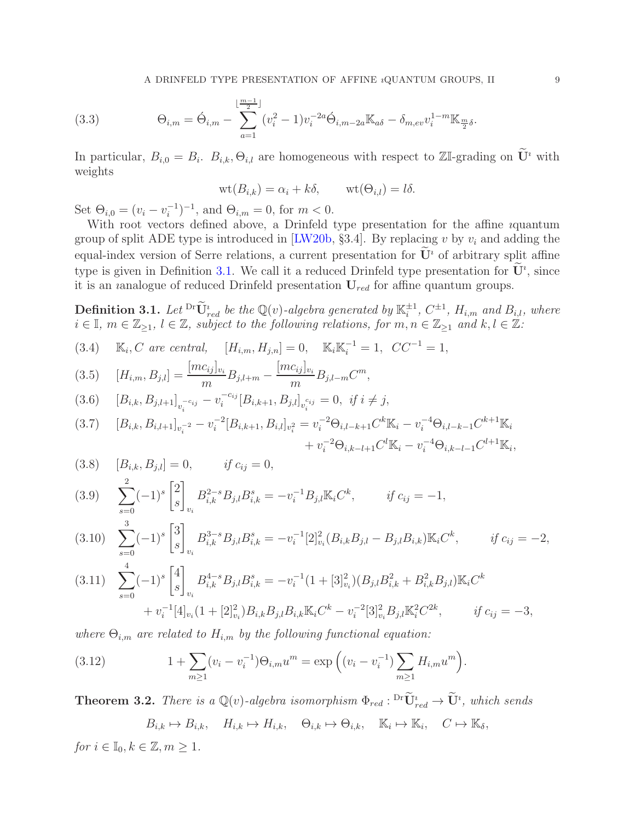<span id="page-8-1"></span>(3.3) 
$$
\Theta_{i,m} = \acute{\Theta}_{i,m} - \sum_{a=1}^{\lfloor \frac{m-1}{2} \rfloor} (v_i^2 - 1) v_i^{-2a} \acute{\Theta}_{i,m-2a} \mathbb{K}_{a\delta} - \delta_{m,ev} v_i^{1-m} \mathbb{K}_{\frac{m}{2}\delta}.
$$

In particular,  $B_{i,0} = B_i$ .  $B_{i,k}$ ,  $\Theta_{i,l}$  are homogeneous with respect to  $\mathbb{Z}$ -grading on  $\mathbf{U}^i$  with weights

$$
\text{wt}(B_{i,k}) = \alpha_i + k\delta, \qquad \text{wt}(\Theta_{i,l}) = l\delta.
$$

Set  $\Theta_{i,0} = (v_i - v_i^{-1})$  $\binom{-1}{i}$ <sup>-1</sup>, and  $\Theta_{i,m} = 0$ , for  $m < 0$ .

With root vectors defined above, a Drinfeld type presentation for the affine ıquantum group of split ADE type is introduced in [\[LW20b,](#page-24-10) §3.4]. By replacing v by  $v_i$  and adding the equal-index version of Serre relations, a current presentation for  $\dot{\mathbf{U}}^i$  of arbitrary split affine type is given in Definition [3.1.](#page-8-7) We call it a reduced Drinfeld type presentation for  $\mathbf{U}^i$ , since it is an *i*analogue of reduced Drinfeld presentation  $U_{red}$  for affine quantum groups.

<span id="page-8-7"></span>**Definition 3.1.** Let  $\overline{\text{Ur}}_{red}^i$  be the Q(v)-algebra generated by  $\mathbb{K}_i^{\pm 1}$  $_i^{\pm 1}$ ,  $C^{\pm 1}$ ,  $H_{i,m}$  and  $B_{i,l}$ , where  $i \in \mathbb{I}, m \in \mathbb{Z}_{\geq 1}, l \in \mathbb{Z},$  subject to the following relations, for  $m, n \in \mathbb{Z}_{\geq 1}$  and  $k, l \in \mathbb{Z}$ :

<span id="page-8-2"></span>(3.4)  $\mathbb{K}_i, C$  are central,  $[H_{i,m}, H_{j,n}] = 0, \quad \mathbb{K}_i \mathbb{K}_i^{-1} = 1, \quad CC^{-1} = 1,$ 

<span id="page-8-0"></span>(3.5) 
$$
[H_{i,m}, B_{j,l}] = \frac{[mc_{ij}]_{v_i}}{m} B_{j,l+m} - \frac{[mc_{ij}]_{v_i}}{m} B_{j,l-m} C^m,
$$

<span id="page-8-10"></span>
$$
(3.6) \t [B_{i,k}, B_{j,l+1}]_{v_i^{-c_{ij}}} - v_i^{-c_{ij}} [B_{i,k+1}, B_{j,l}]_{v_i^{c_{ij}}} = 0, \text{ if } i \neq j,
$$

<span id="page-8-9"></span>
$$
(3.7) \quad [B_{i,k}, B_{i,l+1}]_{v_i^{-2}} - v_i^{-2} [B_{i,k+1}, B_{i,l}]_{v_i^2} = v_i^{-2} \Theta_{i,l-k+1} C^k \mathbb{K}_i - v_i^{-4} \Theta_{i,l-k-1} C^{k+1} \mathbb{K}_i + v_i^{-2} \Theta_{i,k-l+1} C^l \mathbb{K}_i - v_i^{-4} \Theta_{i,k-l-1} C^{l+1} \mathbb{K}_i,
$$

<span id="page-8-4"></span>(3.8) 
$$
[B_{i,k}, B_{j,l}] = 0,
$$
 if  $c_{ij} = 0,$ 

<span id="page-8-5"></span>
$$
(3.9) \quad \sum_{s=0}^{2} (-1)^s \begin{bmatrix} 2 \\ s \end{bmatrix}_{v_i} B_{i,k}^{2-s} B_{j,l} B_{i,k}^s = -v_i^{-1} B_{j,l} \mathbb{K}_i C^k, \qquad \text{if } c_{ij} = -1,
$$

<span id="page-8-6"></span>
$$
(3.10) \sum_{s=0}^{3} (-1)^s \begin{bmatrix} 3 \\ s \end{bmatrix}_{v_i} B_{i,k}^{3-s} B_{j,l} B_{i,k}^s = -v_i^{-1} [2]_{v_i}^2 (B_{i,k} B_{j,l} - B_{j,l} B_{i,k}) \mathbb{K}_i C^k, \qquad \text{if } c_{ij} = -2,
$$

<span id="page-8-3"></span>
$$
(3.11) \sum_{s=0}^{4} (-1)^s \begin{bmatrix} 4 \\ s \end{bmatrix}_{v_i} B_{i,k}^{4-s} B_{j,l} B_{i,k}^s = -v_i^{-1} (1 + [3]_{v_i}^2) (B_{j,l} B_{i,k}^2 + B_{i,k}^2 B_{j,l}) \mathbb{K}_i C^k
$$

$$
+ v_i^{-1} [4]_{v_i} (1 + [2]_{v_i}^2) B_{i,k} B_{j,l} B_{i,k} \mathbb{K}_i C^k - v_i^{-2} [3]_{v_i}^2 B_{j,l} \mathbb{K}_i^2 C^{2k}, \qquad \text{if } c_{ij} = -3,
$$

where  $\Theta_{i,m}$  are related to  $H_{i,m}$  by the following functional equation:

<span id="page-8-11"></span>(3.12) 
$$
1 + \sum_{m \ge 1} (v_i - v_i^{-1}) \Theta_{i,m} u^m = \exp \left( (v_i - v_i^{-1}) \sum_{m \ge 1} H_{i,m} u^m \right).
$$

<span id="page-8-8"></span>**Theorem 3.2.** There is a  $\mathbb{Q}(v)$ -algebra isomorphism  $\Phi_{red}: \mathrm{^{Dr}U}_{red}^* \to \mathrm{U}^i$ , which sends

 $B_{i,k} \mapsto B_{i,k}, \quad H_{i,k} \mapsto H_{i,k}, \quad \Theta_{i,k} \mapsto \Theta_{i,k}, \quad \mathbb{K}_i \mapsto \mathbb{K}_i, \quad C \mapsto \mathbb{K}_\delta,$ 

for  $i \in \mathbb{I}_0, k \in \mathbb{Z}, m \geq 1$ .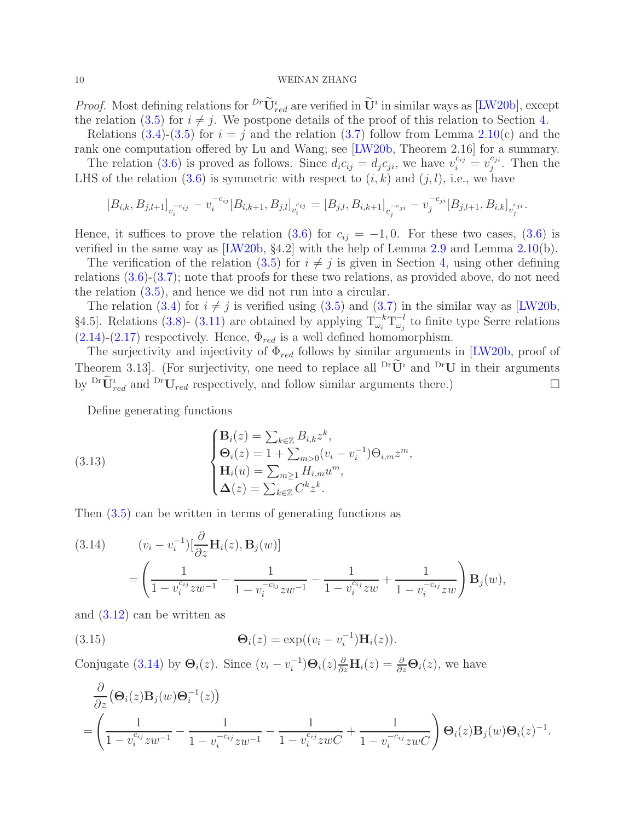*Proof.* Most defining relations for  ${}^{Dr}\mathbf{U}^i_{red}$  are verified in  $\mathbf{U}^i$  in similar ways as [\[LW20b\]](#page-24-10), except the relation [\(3.5\)](#page-8-0) for  $i \neq j$ . We postpone details of the proof of this relation to Section [4.](#page-13-0)

Relations [\(3.4\)](#page-8-2)-[\(3.5\)](#page-8-0) for  $i = j$  and the relation [\(3.7\)](#page-8-9) follow from Lemma [2.10\(](#page-7-3)c) and the rank one computation offered by Lu and Wang; see [\[LW20b,](#page-24-10) Theorem 2.16] for a summary.

The relation [\(3.6\)](#page-8-10) is proved as follows. Since  $d_i c_{ij} = d_j c_{ji}$ , we have  $v_i^{c_{ij}} = v_j^{c_{ji}}$  $j^{c_{ji}}$ . Then the LHS of the relation  $(3.6)$  is symmetric with respect to  $(i, k)$  and  $(j, l)$ , i.e., we have

$$
[B_{i,k}, B_{j,l+1}]_{v_i^{-c_{ij}}} - v_i^{-c_{ij}} [B_{i,k+1}, B_{j,l}]_{v_i^{c_{ij}}} = [B_{j,l}, B_{i,k+1}]_{v_j^{-c_{ji}}} - v_j^{-c_{ji}} [B_{j,l+1}, B_{i,k}]_{v_j^{c_{ji}}}.
$$

Hence, it suffices to prove the relation  $(3.6)$  for  $c_{ij} = -1, 0$ . For these two cases,  $(3.6)$  is verified in the same way as  $[{\rm LW}20b, §4.2]$  with the help of Lemma [2.9](#page-7-4) and Lemma [2.10\(](#page-7-3)b).

The verification of the relation [\(3.5\)](#page-8-0) for  $i \neq j$  is given in Section [4,](#page-13-0) using other defining relations [\(3.6\)](#page-8-10)-[\(3.7\)](#page-8-9); note that proofs for these two relations, as provided above, do not need the relation [\(3.5\)](#page-8-0), and hence we did not run into a circular.

The relation [\(3.4\)](#page-8-2) for  $i \neq j$  is verified using [\(3.5\)](#page-8-0) and [\(3.7\)](#page-8-9) in the similar way as [\[LW20b,](#page-24-10) §4.5]. Relations [\(3.8\)](#page-8-4)- [\(3.11\)](#page-8-3) are obtained by applying  $T_{\omega_i}^{-k}T_{\omega_j}^{-l}$  $\omega_j$ <sup>-*l*</sup> to finite type Serre relations  $(2.14)-(2.17)$  $(2.14)-(2.17)$  $(2.14)-(2.17)$  respectively. Hence,  $\Phi_{red}$  is a well defined homomorphism.

The surjectivity and injectivity of  $\Phi_{red}$  follows by similar arguments in [\[LW20b,](#page-24-10) proof of Theorem 3.13]. (For surjectivity, one need to replace all  $\mathrm{^{Dr}\tilde{U}^i}$  and  $\mathrm{^{Dr}U}$  in their arguments by  $\mathbf{D}^r \widetilde{\mathbf{U}}_{red}^i$  and  $\mathbf{D}^r \mathbf{U}_{red}$  respectively, and follow similar arguments there.)

Define generating functions

<span id="page-9-1"></span>(3.13) 
$$
\begin{cases} \mathbf{B}_{i}(z) = \sum_{k \in \mathbb{Z}} B_{i,k} z^{k}, \\ \mathbf{\Theta}_{i}(z) = 1 + \sum_{m > 0} (v_{i} - v_{i}^{-1}) \Theta_{i,m} z^{m}, \\ \mathbf{H}_{i}(u) = \sum_{m \geq 1} H_{i,m} u^{m}, \\ \Delta(z) = \sum_{k \in \mathbb{Z}} C^{k} z^{k}. \end{cases}
$$

Then [\(3.5\)](#page-8-0) can be written in terms of generating functions as

<span id="page-9-0"></span>(3.14) 
$$
(v_i - v_i^{-1}) \left[ \frac{\partial}{\partial z} \mathbf{H}_i(z), \mathbf{B}_j(w) \right]
$$

$$
= \left( \frac{1}{1 - v_i^{c_{ij}} z w^{-1}} - \frac{1}{1 - v_i^{-c_{ij}} z w^{-1}} - \frac{1}{1 - v_i^{c_{ij}} z w} + \frac{1}{1 - v_i^{-c_{ij}} z w} \right) \mathbf{B}_j(w),
$$

and [\(3.12\)](#page-8-11) can be written as

(3.15) 
$$
\mathbf{\Theta}_i(z) = \exp((v_i - v_i^{-1})\mathbf{H}_i(z)).
$$

Conjugate [\(3.14\)](#page-9-0) by  $\mathbf{\Theta}_i(z)$ . Since  $(v_i - v_i^{-1})\mathbf{\Theta}_i(z)\frac{\partial}{\partial z}\mathbf{H}_i(z) = \frac{\partial}{\partial z}\mathbf{\Theta}_i(z)$ , we have

$$
\frac{\partial}{\partial z} (\Theta_i(z) \mathbf{B}_j(w) \Theta_i^{-1}(z)) \n= \left( \frac{1}{1 - v_i^{c_{ij}} z w^{-1}} - \frac{1}{1 - v_i^{-c_{ij}} z w^{-1}} - \frac{1}{1 - v_i^{c_{ij}} z w C} + \frac{1}{1 - v_i^{-c_{ij}} z w C} \right) \Theta_i(z) \mathbf{B}_j(w) \Theta_i(z)^{-1}.
$$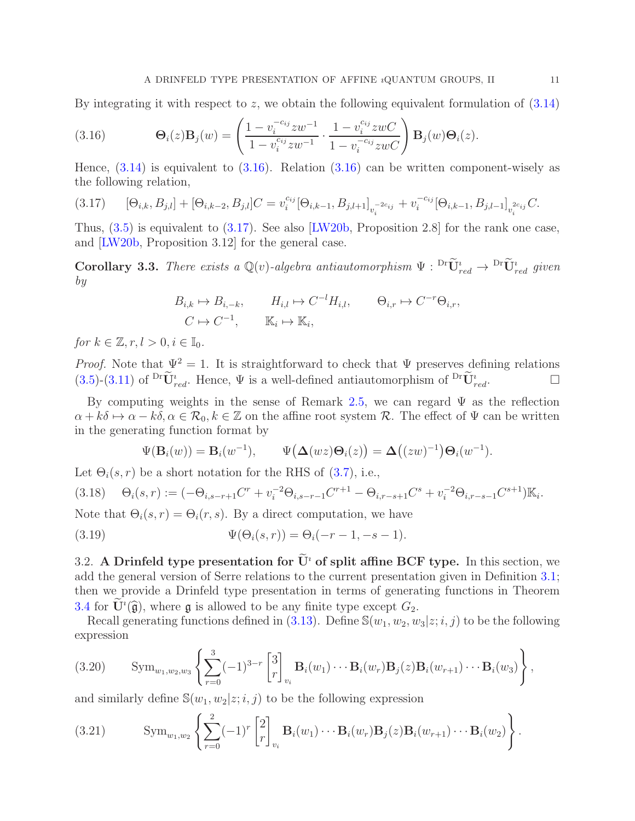By integrating it with respect to  $z$ , we obtain the following equivalent formulation of  $(3.14)$ 

<span id="page-10-1"></span>(3.16) 
$$
\mathbf{\Theta}_{i}(z)\mathbf{B}_{j}(w) = \left(\frac{1 - v_{i}^{-c_{ij}}zw^{-1}}{1 - v_{i}^{c_{ij}}zw^{-1}} \cdot \frac{1 - v_{i}^{c_{ij}}zwC}{1 - v_{i}^{-c_{ij}}zwC}\right)\mathbf{B}_{j}(w)\mathbf{\Theta}_{i}(z).
$$

Hence,  $(3.14)$  is equivalent to  $(3.16)$ . Relation  $(3.16)$  can be written component-wisely as the following relation,

<span id="page-10-2"></span>
$$
(3.17) \qquad [\Theta_{i,k}, B_{j,l}] + [\Theta_{i,k-2}, B_{j,l}]C = v_i^{c_{ij}} [\Theta_{i,k-1}, B_{j,l+1}]_{v_i^{-2c_{ij}}} + v_i^{-c_{ij}} [\Theta_{i,k-1}, B_{j,l-1}]_{v_i^{2c_{ij}}} C.
$$

Thus,  $(3.5)$  is equivalent to  $(3.17)$ . See also [\[LW20b,](#page-24-10) Proposition 2.8] for the rank one case, and [\[LW20b,](#page-24-10) Proposition 3.12] for the general case.

**Corollary 3.3.** There exists a  $\mathbb{Q}(v)$ -algebra antiautomorphism  $\Psi : \mathop{\rm Pr}\limits_{red} \to \mathop{\rm Pr}\limits_{red}$  given by

$$
B_{i,k} \mapsto B_{i,-k}, \qquad H_{i,l} \mapsto C^{-l}H_{i,l}, \qquad \Theta_{i,r} \mapsto C^{-r}\Theta_{i,r},
$$
  

$$
C \mapsto C^{-1}, \qquad \mathbb{K}_i \mapsto \mathbb{K}_i,
$$

for  $k \in \mathbb{Z}, r, l > 0, i \in \mathbb{I}_0$ .

*Proof.* Note that  $\Psi^2 = 1$ . It is straightforward to check that  $\Psi$  preserves defining relations  $(3.5)-(3.11)$  $(3.5)-(3.11)$  $(3.5)-(3.11)$  of  $\widetilde{\mathbf{U}}_{red}^i$ . Hence,  $\Psi$  is a well-defined antiautomorphism of  $\widetilde{\mathbf{U}}_{red}^i$ .

By computing weights in the sense of Remark [2.5,](#page-6-1) we can regard  $\Psi$  as the reflection  $\alpha + k\delta \mapsto \alpha - k\delta, \alpha \in \mathcal{R}_0, k \in \mathbb{Z}$  on the affine root system R. The effect of  $\Psi$  can be written in the generating function format by

$$
\Psi(\mathbf{B}_i(w)) = \mathbf{B}_i(w^{-1}), \qquad \Psi(\mathbf{\Delta}(wz)\mathbf{\Theta}_i(z)) = \mathbf{\Delta}\big((zw)^{-1}\big)\mathbf{\Theta}_i(w^{-1}).
$$

Let  $\Theta_i(s,r)$  be a short notation for the RHS of [\(3.7\)](#page-8-9), i.e.,

<span id="page-10-3"></span>
$$
(3.18) \quad \Theta_i(s,r) := (-\Theta_{i,s-r+1}C^r + v_i^{-2}\Theta_{i,s-r-1}C^{r+1} - \Theta_{i,r-s+1}C^s + v_i^{-2}\Theta_{i,r-s-1}C^{s+1})\mathbb{K}_i.
$$

Note that  $\Theta_i(s,r) = \Theta_i(r,s)$ . By a direct computation, we have

<span id="page-10-0"></span>(3.19) 
$$
\Psi(\Theta_i(s,r)) = \Theta_i(-r-1, -s-1).
$$

3.2. A Drinfeld type presentation for  $\widetilde{U}^i$  of split affine BCF type. In this section, we add the general version of Serre relations to the current presentation given in Definition [3.1;](#page-8-7) then we provide a Drinfeld type presentation in terms of generating functions in Theorem [3.4](#page-11-2) for  $\dot{U}^i(\hat{g})$ , where g is allowed to be any finite type except  $G_2$ .

Recall generating functions defined in [\(3.13\)](#page-9-1). Define  $\mathbb{S}(w_1, w_2, w_3|z; i, j)$  to be the following expression

<span id="page-10-4"></span>
$$
(3.20) \qquad \mathrm{Sym}_{w_1,w_2,w_3}\left\{\sum_{r=0}^3(-1)^{3-r}\begin{bmatrix}3\\r\end{bmatrix}_{v_i}\mathbf{B}_i(w_1)\cdots\mathbf{B}_i(w_r)\mathbf{B}_j(z)\mathbf{B}_i(w_{r+1})\cdots\mathbf{B}_i(w_3)\right\},\,
$$

and similarly define  $\mathbb{S}(w_1, w_2|z; i, j)$  to be the following expression

(3.21) 
$$
\text{Sym}_{w_1,w_2}\left\{\sum_{r=0}^2(-1)^r\begin{bmatrix}2\\r\end{bmatrix}_{v_i}\mathbf{B}_i(w_1)\cdots\mathbf{B}_i(w_r)\mathbf{B}_j(z)\mathbf{B}_i(w_{r+1})\cdots\mathbf{B}_i(w_2)\right\}.
$$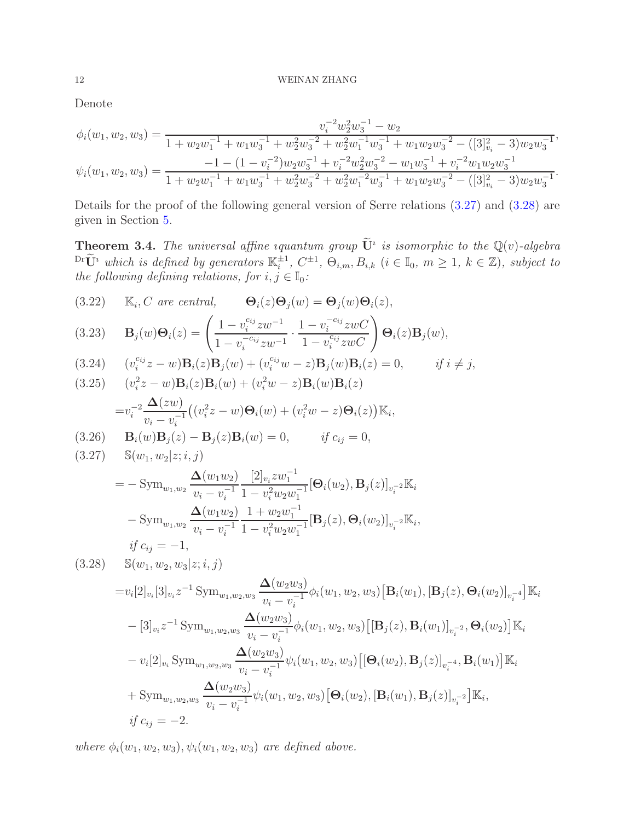Denote

$$
\phi_i(w_1, w_2, w_3) = \frac{v_i^{-2} w_2^2 w_3^{-1} - w_2}{1 + w_2 w_1^{-1} + w_1 w_3^{-1} + w_2^2 w_3^{-2} + w_2^2 w_1^{-1} w_3^{-1} + w_1 w_2 w_3^{-2} - ([3]_{v_i}^2 - 3) w_2 w_3^{-1}},
$$
  

$$
\psi_i(w_1, w_2, w_3) = \frac{-1 - (1 - v_i^{-2}) w_2 w_3^{-1} + v_i^{-2} w_2^2 w_3^{-2} - w_1 w_3^{-1} + v_i^{-2} w_1 w_2 w_3^{-1}}{1 + w_2 w_1^{-1} + w_1 w_3^{-1} + w_2^2 w_3^{-2} + w_2^2 w_1^{-2} w_3^{-1} + w_1 w_2 w_3^{-2} - ([3]_{v_i}^2 - 3) w_2 w_3^{-1}}.
$$

Details for the proof of the following general version of Serre relations [\(3.27\)](#page-11-0) and [\(3.28\)](#page-11-1) are given in Section [5.](#page-18-0)

<span id="page-11-2"></span>**Theorem 3.4.** The universal affine iquantum group  $\mathbf{U}^i$  is isomorphic to the  $\mathbb{Q}(v)$ -algebra  $\mathbb{D}^r \tilde{\mathbf{U}}^i$  which is defined by generators  $\mathbb{K}_i^{\pm 1}$ ,  $C^{\pm 1}$ ,  $\Theta_{i,m}, B_{i,k}$   $(i \in \mathbb{I}_0, m \geq 1, k \in \mathbb{Z})$ , subject to the following defining relations, for  $i, j \in \mathbb{I}_0$ :

<span id="page-11-6"></span>(3.22) 
$$
\mathbb{K}_i, C \text{ are central, } \Theta_i(z)\Theta_j(w) = \Theta_j(w)\Theta_i(z),
$$
  
(3.23) 
$$
\mathbf{B}_j(w)\Theta_i(z) = \left(\frac{1 - v_i^{c_{ij}}zw^{-1}}{1 - v_i^{-c_{ij}}zw^{-1}} \cdot \frac{1 - v_i^{-c_{ij}}zwC}{1 - v_i^{c_{ij}}zwC}\right)\Theta_i(z)
$$

<span id="page-11-5"></span>(3.23) 
$$
\mathbf{B}_{j}(w)\mathbf{\Theta}_{i}(z) = \left(\frac{1 - v_{i} - zw}{1 - v_{i}^{-c_{ij}}zw^{-1}} \cdot \frac{1 - v_{i}^{-c_{ij}}zwc}{1 - v_{i}^{c_{ij}}zwC}\right)\mathbf{\Theta}_{i}(z)\mathbf{B}_{j}(w),
$$
\n(2.24) 
$$
\left(e^{\text{Cij}}z - w\right)\mathbf{B}_{i}(w)\mathbf{B}_{i}(w) + \left(e^{\text{Cij}}w - w\right)\mathbf{B}_{i}(w)\mathbf{B}_{i}(w) = 0
$$

<span id="page-11-3"></span>(3.24) 
$$
(v_i^{c_{ij}}z - w)\mathbf{B}_i(z)\mathbf{B}_j(w) + (v_i^{c_{ij}}w - z)\mathbf{B}_j(w)\mathbf{B}_i(z) = 0
$$
, if  $i \neq j$ ,

(3.25) 
$$
(v_i^2 z - w) \mathbf{B}_i(z) \mathbf{B}_i(w) + (v_i^2 w - z) \mathbf{B}_i(w) \mathbf{B}_i(z)
$$

$$
= v_i^{-2} \frac{\Delta(zw)}{v_i - v_i^{-1}} \big( (v_i^2 z - w) \Theta_i(w) + (v_i^2 w - z) \Theta_i(z) \big) \mathbb{K}_i,
$$

<span id="page-11-4"></span><span id="page-11-0"></span>(3.26) 
$$
\mathbf{B}_i(w)\mathbf{B}_j(z) - \mathbf{B}_j(z)\mathbf{B}_i(w) = 0
$$
, if  $c_{ij} = 0$ ,  
(3.27)  $\mathbb{S}(w_1, w_2|z; i, j)$ 

$$
= -\operatorname{Sym}_{w_1,w_2} \frac{\Delta(w_1w_2)}{v_i - v_1^{-1}} \frac{[2]_{v_i}zw_1^{-1}}{1 - v_i^2w_2w_1^{-1}} [\Theta_i(w_2), \mathbf{B}_j(z)]_{v_i^{-2}} \mathbb{K}_i
$$
  

$$
- \operatorname{Sym}_{w_1,w_2} \frac{\Delta(w_1w_2)}{v_i - v_1^{-1}} \frac{1 + w_2w_1^{-1}}{1 - v_i^2w_2w_1^{-1}} [\mathbf{B}_j(z), \Theta_i(w_2)]_{v_i^{-2}} \mathbb{K}_i,
$$
  
if  $c_{ij} = -1$ ,

<span id="page-11-1"></span>
$$
(3.28) \quad \mathbb{S}(w_1, w_2, w_3 | z; i, j)
$$
\n
$$
= v_i[2]_{v_i}[3]_{v_i}z^{-1} \text{Sym}_{w_1, w_2, w_3} \frac{\Delta(w_2 w_3)}{v_i - v_i^{-1}} \phi_i(w_1, w_2, w_3) [\mathbf{B}_i(w_1), [\mathbf{B}_j(z), \mathbf{\Theta}_i(w_2)]_{v_i^{-4}}] \mathbb{K}_i
$$
\n
$$
- [3]_{v_i}z^{-1} \text{Sym}_{w_1, w_2, w_3} \frac{\Delta(w_2 w_3)}{v_i - v_i^{-1}} \phi_i(w_1, w_2, w_3) [[\mathbf{B}_j(z), \mathbf{B}_i(w_1)]_{v_i^{-2}}, \mathbf{\Theta}_i(w_2)] \mathbb{K}_i
$$
\n
$$
- v_i[2]_{v_i} \text{Sym}_{w_1, w_2, w_3} \frac{\Delta(w_2 w_3)}{v_i - v_i^{-1}} \psi_i(w_1, w_2, w_3) [[\mathbf{\Theta}_i(w_2), \mathbf{B}_j(z)]_{v_i^{-4}}, \mathbf{B}_i(w_1)] \mathbb{K}_i
$$
\n
$$
+ \text{Sym}_{w_1, w_2, w_3} \frac{\Delta(w_2 w_3)}{v_i - v_i^{-1}} \psi_i(w_1, w_2, w_3) [\mathbf{\Theta}_i(w_2), [\mathbf{B}_i(w_1), \mathbf{B}_j(z)]_{v_i^{-2}}] \mathbb{K}_i,
$$
\n
$$
if c_{ij} = -2.
$$

where  $\phi_i(w_1, w_2, w_3), \psi_i(w_1, w_2, w_3)$  are defined above.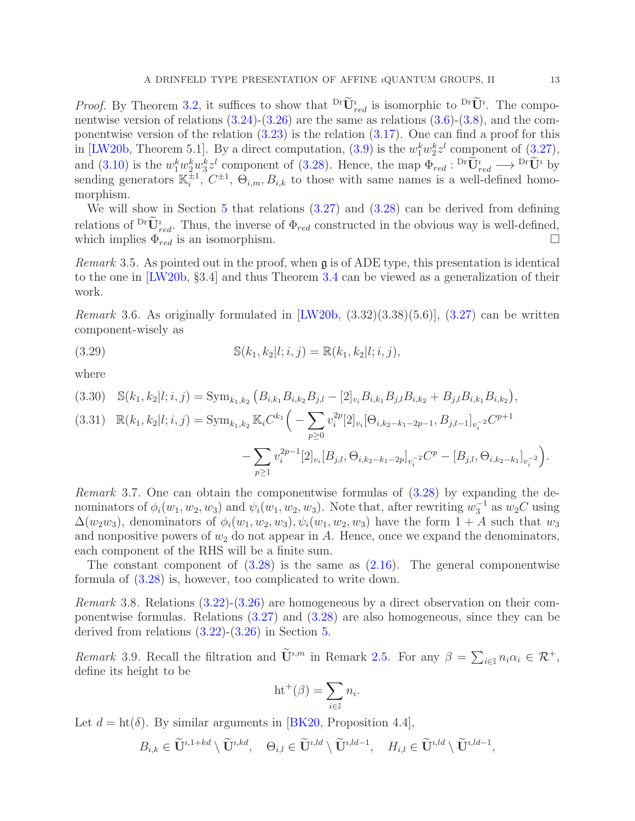*Proof.* By Theorem [3.2,](#page-8-8) it suffices to show that  $\overline{\text{Dr}} \mathbf{U}_{red}^i$  is isomorphic to  $\overline{\text{Dr}} \mathbf{U}^i$ . The componentwise version of relations  $(3.24)-(3.26)$  $(3.24)-(3.26)$  are the same as relations  $(3.6)-(3.8)$  $(3.6)-(3.8)$ , and the componentwise version of the relation  $(3.23)$  is the relation  $(3.17)$ . One can find a proof for this in [\[LW20b,](#page-24-10) Theorem 5.1]. By a direct computation,  $(3.9)$  is the  $w_1^k w_2^k z^l$  component of  $(3.27)$ , and [\(3.10\)](#page-8-6) is the  $w_1^k w_2^k w_3^k z^l$  component of [\(3.28\)](#page-11-1). Hence, the map  $\Phi_{red}: {}^{Dr}U_{red} \longrightarrow {}^{Dr}U^i$  by sending generators  $\mathbb{K}_i^{\pm 1}$  $\frac{\pm 1}{i}$ ,  $C^{\pm 1}$ ,  $\Theta_{i,m}$ ,  $B_{i,k}$  to those with same names is a well-defined homomorphism.

We will show in Section [5](#page-18-0) that relations  $(3.27)$  and  $(3.28)$  can be derived from defining relations of  $\mathbf{D}^{\text{r}}\mathbf{U}_{red}^{i}$ . Thus, the inverse of  $\Phi_{red}$  constructed in the obvious way is well-defined, which implies  $\Phi_{red}$  is an isomorphism.

*Remark* 3.5. As pointed out in the proof, when  $\mathfrak g$  is of ADE type, this presentation is identical to the one in [\[LW20b,](#page-24-10) §3.4] and thus Theorem [3.4](#page-11-2) can be viewed as a generalization of their work.

Remark 3.6. As originally formulated in  $[LW20b, (3.32)(3.38)(5.6)]$ ,  $(3.27)$  can be written component-wisely as

(3.29) 
$$
\mathbb{S}(k_1,k_2|l;i,j) = \mathbb{R}(k_1,k_2|l;i,j),
$$

where

<span id="page-12-2"></span>
$$
(3.30) \quad \mathbb{S}(k_1,k_2|l;i,j) = \text{Sym}_{k_1,k_2} \left( B_{i,k_1} B_{i,k_2} B_{j,l} - [2]_{v_i} B_{i,k_1} B_{j,l} B_{i,k_2} + B_{j,l} B_{i,k_1} B_{i,k_2} \right),
$$

$$
(3.31) \quad \mathbb{R}(k_1, k_2 | l; i, j) = \text{Sym}_{k_1, k_2} \mathbb{K}_i C^{k_1} \Big( - \sum_{p \ge 0} v_i^{2p} [2]_{v_i} [\Theta_{i, k_2 - k_1 - 2p - 1}, B_{j, l-1}]_{v_i^{-2}} C^{p+1} - \sum_{p \ge 1} v_i^{2p-1} [2]_{v_i} [B_{j, l}, \Theta_{i, k_2 - k_1 - 2p}]_{v_i^{-2}} C^p - [B_{j, l}, \Theta_{i, k_2 - k_1}]_{v_i^{-2}} \Big).
$$

<span id="page-12-0"></span>Remark 3.7. One can obtain the componentwise formulas of [\(3.28\)](#page-11-1) by expanding the denominators of  $\phi_i(w_1, w_2, w_3)$  and  $\psi_i(w_1, w_2, w_3)$ . Note that, after rewriting  $w_3^{-1}$  as  $w_2C$  using  $\Delta(w_2w_3)$ , denominators of  $\phi_i(w_1, w_2, w_3), \psi_i(w_1, w_2, w_3)$  have the form  $1+A$  such that  $w_3$ and nonpositive powers of  $w_2$  do not appear in A. Hence, once we expand the denominators, each component of the RHS will be a finite sum.

The constant component of  $(3.28)$  is the same as  $(2.16)$ . The general componentwise formula of [\(3.28\)](#page-11-1) is, however, too complicated to write down.

Remark 3.8. Relations [\(3.22\)](#page-11-6)-[\(3.26\)](#page-11-4) are homogeneous by a direct observation on their componentwise formulas. Relations [\(3.27\)](#page-11-0) and [\(3.28\)](#page-11-1) are also homogeneous, since they can be derived from relations  $(3.22)-(3.26)$  $(3.22)-(3.26)$  in Section [5.](#page-18-0)

<span id="page-12-1"></span>Remark 3.9. Recall the filtration and  $\tilde{\mathbf{U}}^{i,m}$  in Remark [2.5.](#page-6-1) For any  $\beta = \sum_{i\in\mathbb{I}} n_i\alpha_i \in \mathcal{R}^+$ , define its height to be

$$
\mathrm{ht}^+(\beta) = \sum_{i \in \mathbb{I}} n_i.
$$

Let  $d = ht(\delta)$ . By similar arguments in [\[BK20,](#page-23-5) Proposition 4.4],

 $B_{i,k} \in \widetilde{\mathbf{U}}^{i,1+kd} \setminus \widetilde{\mathbf{U}}^{i,kd}, \quad \Theta_{i,l} \in \widetilde{\mathbf{U}}^{i,ld} \setminus \widetilde{\mathbf{U}}^{i,ld-1}, \quad H_{i,l} \in \widetilde{\mathbf{U}}^{i,ld} \setminus \widetilde{\mathbf{U}}^{i,ld-1},$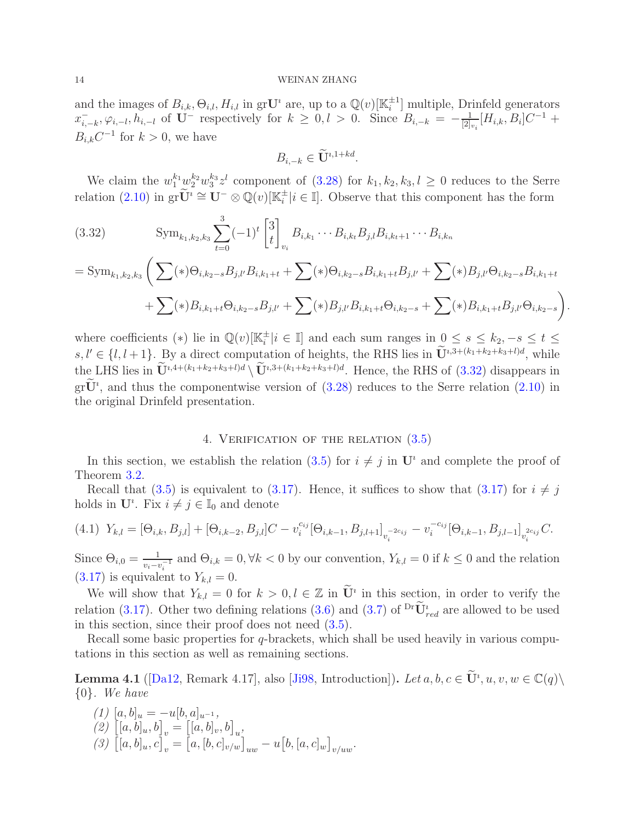and the images of  $B_{i,k}, \Theta_{i,l}, H_{i,l}$  in grU<sup>*i*</sup> are, up to a  $\mathbb{Q}(v)[\mathbb{K}_i^{\pm 1}]$  $_i^{\pm 1}$  multiple, Drinfeld generators  $x_i^ \overline{t}_{i,-k}, \varphi_{i,-l}, h_{i,-l}$  of U<sup>-</sup> respectively for  $k \geq 0, l > 0$ . Since  $B_{i,-k} = -\frac{1}{|2|k|}$  $\frac{1}{[2]_{v_i}}[H_{i,k},B_i]C^{-1} +$  $B_{i,k}C^{-1}$  for  $k>0$ , we have

$$
B_{i,-k} \in \widetilde{\mathbf{U}}^{i,1+kd}.
$$

We claim the  $w_1^{k_1} w_2^{k_2} w_3^{k_3}$  $k_3^k z^l$  component of  $(3.28)$  for  $k_1, k_2, k_3, l \geq 0$  reduces to the Serre relation [\(2.10\)](#page-4-0) in  $\operatorname{gr} \widetilde{\mathbf{U}}^i \cong \mathbf{U}^- \otimes \mathbb{Q}(v)[\mathbb{K}_i^{\pm}]$  $_i^{\pm} | i \in \mathbb{I}].$  Observe that this component has the form

<span id="page-13-1"></span>(3.32) 
$$
\text{Sym}_{k_1,k_2,k_3} \sum_{t=0}^3 (-1)^t \begin{bmatrix} 3 \\ t \end{bmatrix}_{v_i} B_{i,k_1} \cdots B_{i,k_t} B_{j,l} B_{i,k_{t+1}} \cdots B_{i,k_n}
$$

$$
= \text{Sym}_{k_1,k_2,k_3} \left( \sum_{k=0}^3 (\ast) \Theta_{i,k_2-s} B_{j,l'} B_{i,k_1+t} + \sum_{k=0}^3 (\ast) \Theta_{i,k_2-s} B_{i,k_1+t} B_{j,l'} + \sum_{k=0}^3 (\ast) B_{j,l'} \Theta_{i,k_2-s} B_{i,k_1+t} + \sum_{k=0}^3 (\ast) B_{i,k_1+t} \Theta_{i,k_2-s} B_{j,l'} + \sum_{k=0}^3 (\ast) B_{j,l'} B_{i,k_1+t} \Theta_{i,k_2-s} + \sum_{k=0}^3 (\ast) B_{i,k_1+t} B_{j,l'} \Theta_{i,k_2-s} \right)
$$

.

where coefficients (\*) lie in  $\mathbb{Q}(v)[\mathbb{K}^{\pm}_i]$  $\frac{1}{i}$  i ∈ I] and each sum ranges in  $0 \leq s \leq k_2, -s \leq t \leq$  $s, l' \in \{l, l+1\}$ . By a direct computation of heights, the RHS lies in  $\mathbf{U}^{i,3+(k_1+k_2+k_3+l)d}$ , while the LHS lies in  $\dot{\mathbf{U}}^{i,4+(k_1+k_2+k_3+l)d} \setminus \dot{\mathbf{U}}^{i,3+(k_1+k_2+k_3+l)d}$ . Hence, the RHS of [\(3.32\)](#page-13-1) disappears in  $gr\ddot{U}$ <sup>*i*</sup>, and thus the componentwise version of [\(3.28\)](#page-11-1) reduces to the Serre relation [\(2.10\)](#page-4-0) in the original Drinfeld presentation.

## 4. VERIFICATION OF THE RELATION  $(3.5)$

<span id="page-13-0"></span>In this section, we establish the relation [\(3.5\)](#page-8-0) for  $i \neq j$  in  $\mathbf{U}^i$  and complete the proof of Theorem [3.2.](#page-8-8)

Recall that [\(3.5\)](#page-8-0) is equivalent to [\(3.17\)](#page-10-2). Hence, it suffices to show that (3.17) for  $i \neq j$ holds in  $\mathbf{U}^i$ . Fix  $i \neq j \in \mathbb{I}_0$  and denote

<span id="page-13-3"></span>
$$
(4.1) \ \ Y_{k,l} = [\Theta_{i,k}, B_{j,l}] + [\Theta_{i,k-2}, B_{j,l}]C - v_i^{c_{ij}}[\Theta_{i,k-1}, B_{j,l+1}]_{v_i^{-2c_{ij}}} - v_i^{-c_{ij}}[\Theta_{i,k-1}, B_{j,l-1}]_{v_i^{2c_{ij}}}C.
$$

Since  $\Theta_{i,0} = \frac{1}{n-1}$  $\frac{1}{v_i - v_i^{-1}}$  and  $\Theta_{i,k} = 0, \forall k < 0$  by our convention,  $Y_{k,l} = 0$  if  $k \leq 0$  and the relation  $(3.17)$  is equivalent to  $Y_{k,l} = 0$ .

We will show that  $Y_{k,l} = 0$  for  $k > 0, l \in \mathbb{Z}$  in  $\mathbf{U}^i$  in this section, in order to verify the relation [\(3.17\)](#page-10-2). Other two defining relations [\(3.6\)](#page-8-10) and [\(3.7\)](#page-8-9) of  $\mathrm{^{Dr}U_{\mathit{red}}^{t}}$  are allowed to be used in this section, since their proof does not need [\(3.5\)](#page-8-0).

Recall some basic properties for  $q$ -brackets, which shall be used heavily in various computations in this section as well as remaining sections.

<span id="page-13-2"></span>**Lemma 4.1** ([\[Da12,](#page-24-1) Remark 4.17], also [\[Ji98,](#page-24-20) Introduction]). Let  $a, b, c \in U^i, u, v, w \in \mathbb{C}(q) \setminus$ {0}. We have

(1)  $[a, b]_u = -u[b, a]_{u^{-1}},$  $(2)$   $[[a, b]_u, b]_v = [[a, b]_v, b]_u,$  $(3)$   $[[a, b]_u, c]_v = [a, [b, c]_{v/w}]_{uw} - u[b, [a, c]_{w}]_{v/uw}.$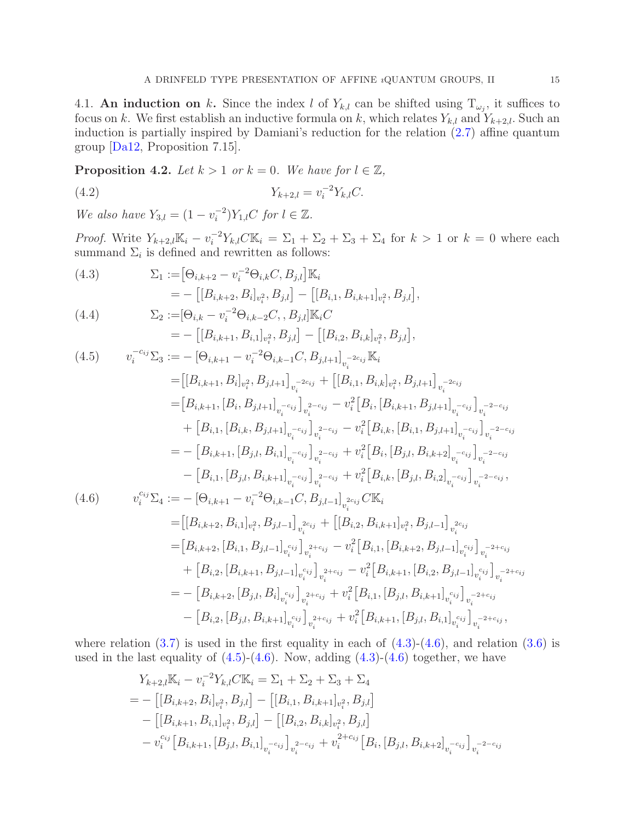<span id="page-14-1"></span>4.1. An induction on k. Since the index l of  $Y_{k,l}$  can be shifted using  $T_{\omega_j}$ , it suffices to focus on k. We first establish an inductive formula on k, which relates  $Y_{k,l}$  and  $Y_{k+2,l}$ . Such an induction is partially inspired by Damiani's reduction for the relation [\(2.7\)](#page-4-4) affine quantum group [\[Da12,](#page-24-1) Proposition 7.15].

<span id="page-14-5"></span>**Proposition 4.2.** Let  $k > 1$  or  $k = 0$ . We have for  $l \in \mathbb{Z}$ ,

<span id="page-14-0"></span>(4.2) 
$$
Y_{k+2,l} = v_i^{-2} Y_{k,l} C.
$$

We also have  $Y_{3,l} = (1 - v_i^{-2})$  $i^{-2}$ ) $Y_{1,l}$ C for  $l \in \mathbb{Z}$ .

*Proof.* Write  $Y_{k+2,l}\mathbb{K}_i - v_i^{-2}Y_{k,l}C\mathbb{K}_i = \Sigma_1 + \Sigma_2 + \Sigma_3 + \Sigma_4$  for  $k > 1$  or  $k = 0$  where each summand  $\Sigma_i$  is defined and rewritten as follows:

<span id="page-14-4"></span><span id="page-14-2"></span>(4.3) 
$$
\Sigma_{1} := [\Theta_{i,k+2} - v_{i}^{-2}\Theta_{i,k}C, B_{j,l}] \mathbb{K}_{i}
$$
\n
$$
= -\left[[B_{i,k+2}, B_{i}]_{v_{i}^{2}}, B_{j,l}\right] - \left[[B_{i,1}, B_{i,k+1}]_{v_{i}^{2}}, B_{j,l}\right],
$$
\n(4.4) 
$$
\Sigma_{2} := [\Theta_{i,k} - v_{i}^{-2}\Theta_{i,k-2}C, B_{j,l}] \mathbb{K}_{i}C
$$
\n
$$
= -\left[[B_{i,k+1}, B_{i,1}]_{v_{i}^{2}}, B_{j,l}\right] - \left[[B_{i,2}, B_{i,k}]_{v_{i}^{2}}, B_{j,l}\right],
$$
\n(4.5) 
$$
v_{i}^{-c_{ij}}\Sigma_{3} := -\left[\Theta_{i,k+1} - v_{i}^{-2}\Theta_{i,k-1}C, B_{j,l+1}\right]_{v_{i}^{-2c_{ij}}} \mathbb{K}_{i}
$$
\n
$$
= \left[[B_{i,k+1}, B_{i}]_{v_{i}^{2}}, B_{j,l+1}\right]_{v_{i}^{-2c_{ij}}} + \left[[B_{i,1}, B_{i,k}]_{v_{i}^{2}}, B_{j,l+1}\right]_{v_{i}^{-2c_{ij}}} - \left[B_{i,k+1}, [B_{i}, B_{j,l+1}]_{v_{i}^{-2c_{ij}}} + \left[B_{i,1}, [B_{i,k}, B_{j,l+1}]_{v_{i}^{-2c_{ij}}} - v_{i}^{2}\right]B_{i}, [B_{i,k+1}, B_{j,l+1}]_{v_{i}^{-c_{ij}}}\right]_{v_{i}^{-2-c_{ij}}} + \left[B_{i,1}, [B_{i,k}, B_{j,l+1}]_{v_{i}^{-c_{ij}}}\right]_{v_{i}^{2-c_{ij}}} - \left[B_{i,k+1}, [B_{j,l}, B_{i,1}]_{v_{i}^{-c_{ij}}}\right]_{v_{i}^{2-c_{ij}}} - \left[B_{i,1}, [B_{j,l}, B_{i,k+1}]_{v_{i}^{-c_{ij}}}\right]_{v_{i}^{2-c_{ij}}} - \left[B_{i,1}, [B_{j,l}, B_{i,k+1}]_{v_{i}^{-c_{ij}}}\right]_{v_{i}^{2-c_{ij}}} + \left[v_{i}^{2}\left[B_{i,k}, [B_{j,l}, B_{i,2
$$

<span id="page-14-3"></span>
$$
= [B_{i,k+2}, [B_{i,1}, B_{j,l-1}]_{v_i^{c_{ij}}}]_{v_i^{2+c_{ij}}} - v_i^2 [B_{i,1}, [B_{i,k+2}, B_{j,l-1}]_{v_i^{c_{ij}}}]_{v_i^{-2+c_{ij}}} + [B_{i,2}, [B_{i,k+1}, B_{j,l-1}]_{v_i^{c_{ij}}}]_{v_i^{2+c_{ij}}} - v_i^2 [B_{i,k+1}, [B_{i,2}, B_{j,l-1}]_{v_i^{c_{ij}}}]_{v_i^{-2+c_{ij}}} = - [B_{i,k+2}, [B_{j,l}, B_i]_{v_i^{c_{ij}}}]_{v_i^{2+c_{ij}}} + v_i^2 [B_{i,1}, [B_{j,l}, B_{i,k+1}]_{v_i^{c_{ij}}}]_{v_i^{-2+c_{ij}}} - [B_{i,2}, [B_{j,l}, B_{i,k+1}]_{v_i^{c_{ij}}}]_{v_i^{2+c_{ij}}} + v_i^2 [B_{i,k+1}, [B_{j,l}, B_{i,1}]_{v_i^{c_{ij}}}]_{v_i^{-2+c_{ij}}},
$$

where relation  $(3.7)$  is used in the first equality in each of  $(4.3)-(4.6)$  $(4.3)-(4.6)$ , and relation  $(3.6)$  is used in the last equality of  $(4.5)-(4.6)$  $(4.5)-(4.6)$ . Now, adding  $(4.3)-(4.6)$  together, we have

$$
Y_{k+2,l}\mathbb{K}_{i} - v_{i}^{-2}Y_{k,l}C\mathbb{K}_{i} = \Sigma_{1} + \Sigma_{2} + \Sigma_{3} + \Sigma_{4}
$$
  
= - [[B\_{i,k+2}, B\_{i}]\_{v\_{i}^{2}}, B\_{j,l}] - [[B\_{i,1}, B\_{i,k+1}]\_{v\_{i}^{2}}, B\_{j,l}]  
- [[B\_{i,k+1}, B\_{i,1}]\_{v\_{i}^{2}}, B\_{j,l}] - [[B\_{i,2}, B\_{i,k}]\_{v\_{i}^{2}}, B\_{j,l}]  
- v\_{i}^{c\_{ij}} [B\_{i,k+1}, [B\_{j,l}, B\_{i,1}]\_{v\_{i}^{-c\_{ij}}}]\_{v\_{i}^{2-c\_{ij}}} + v\_{i}^{2+c\_{ij}} [B\_{i}, [B\_{j,l}, B\_{i,k+2}]\_{v\_{i}^{-c\_{ij}}}]\_{v\_{i}^{-2-c\_{ij}}}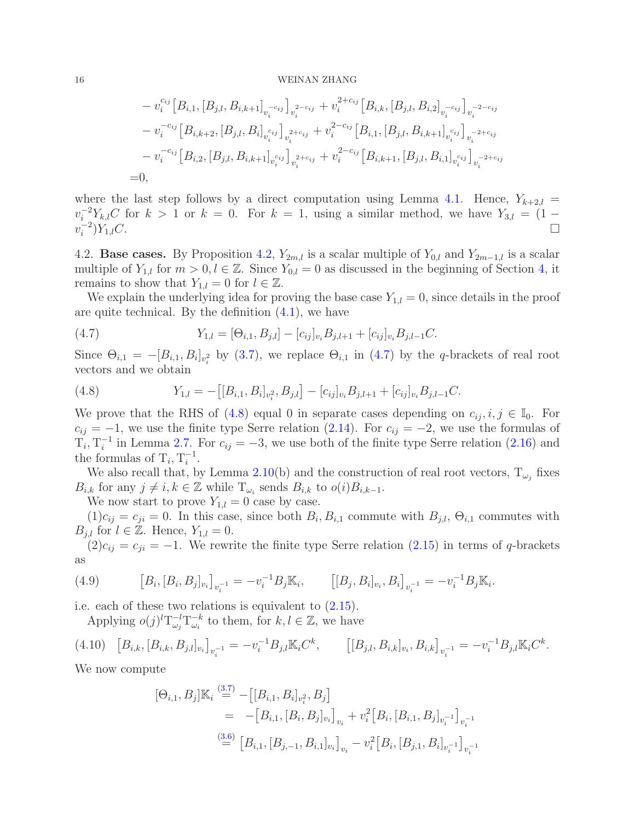$$
- v_i^{c_{ij}} [B_{i,1}, [B_{j,l}, B_{i,k+1}]_{v_i^{-c_{ij}}} ]_{v_i^{2-c_{ij}}} + v_i^{2+c_{ij}} [B_{i,k}, [B_{j,l}, B_{i,2}]_{v_i^{-c_{ij}}} ]_{v_i^{-2-c_{ij}}}
$$
  
\n
$$
- v_i^{-c_{ij}} [B_{i,k+2}, [B_{j,l}, B_i]_{v_i^{c_{ij}}} ]_{v_i^{2+c_{ij}}} + v_i^{2-c_{ij}} [B_{i,1}, [B_{j,l}, B_{i,k+1}]_{v_i^{c_{ij}}} ]_{v_i^{-2+c_{ij}}}
$$
  
\n
$$
- v_i^{-c_{ij}} [B_{i,2}, [B_{j,l}, B_{i,k+1}]_{v_i^{c_{ij}}} ]_{v_i^{2+c_{ij}}} + v_i^{2-c_{ij}} [B_{i,k+1}, [B_{j,l}, B_{i,1}]_{v_i^{c_{ij}}} ]_{v_i^{-2+c_{ij}}}
$$
  
\n=0,

where the last step follows by a direct computation using Lemma [4.1.](#page-13-2) Hence,  $Y_{k+2,l}$  =  $v_i^{-2} Y_{k,l} C$  for  $k > 1$  or  $k = 0$ . For  $k = 1$ , using a similar method, we have  $Y_{3,l} = (1$  $v_i^{-2}$ i  $)Y_{1,l}C$ .

<span id="page-15-0"></span>4.2. **Base cases.** By Proposition [4.2,](#page-14-5)  $Y_{2m,l}$  is a scalar multiple of  $Y_{0,l}$  and  $Y_{2m-1,l}$  is a scalar multiple of  $Y_{1,l}$  for  $m > 0, l \in \mathbb{Z}$ . Since  $Y_{0,l} = 0$  as discussed in the beginning of Section [4,](#page-13-0) it remains to show that  $Y_{1,l} = 0$  for  $l \in \mathbb{Z}$ .

We explain the underlying idea for proving the base case  $Y_{1,l} = 0$ , since details in the proof are quite technical. By the definition [\(4.1\)](#page-13-3), we have

<span id="page-15-2"></span>(4.7) 
$$
Y_{1,l} = [\Theta_{i,1}, B_{j,l}] - [c_{ij}]_{v_i} B_{j,l+1} + [c_{ij}]_{v_i} B_{j,l-1} C.
$$

Since  $\Theta_{i,1} = -[B_{i,1}, B_i]_{v_i^2}$  by [\(3.7\)](#page-8-9), we replace  $\Theta_{i,1}$  in [\(4.7\)](#page-15-2) by the q-brackets of real root vectors and we obtain

<span id="page-15-3"></span>(4.8) 
$$
Y_{1,l} = -\big[[B_{i,1}, B_i]_{v_i^2}, B_{j,l}\big] - [c_{ij}]_{v_i}B_{j,l+1} + [c_{ij}]_{v_i}B_{j,l-1}C.
$$

We prove that the RHS of [\(4.8\)](#page-15-3) equal 0 in separate cases depending on  $c_{ij}$ ,  $i, j \in \mathbb{I}_0$ . For  $c_{ij} = -1$ , we use the finite type Serre relation [\(2.14\)](#page-5-5). For  $c_{ij} = -2$ , we use the formulas of  $T_i, T_i^{-1}$  in Lemma [2.7.](#page-6-0) For  $c_{ij} = -3$ , we use both of the finite type Serre relation [\(2.16\)](#page-5-3) and the formulas of  $T_i, T_i^{-1}$  $\frac{-1}{i}$ .

We also recall that, by Lemma [2.10\(](#page-7-3)b) and the construction of real root vectors,  $T_{\omega_i}$  fixes  $B_{i,k}$  for any  $j \neq i, k \in \mathbb{Z}$  while  $T_{\omega_i}$  sends  $B_{i,k}$  to  $o(i)B_{i,k-1}$ .

We now start to prove  $Y_{1,l} = 0$  case by case.

 $(1)c_{ij} = c_{ji} = 0$ . In this case, since both  $B_i, B_{i,1}$  commute with  $B_{j,l}, \Theta_{i,1}$  commutes with  $B_{j,l}$  for  $l \in \mathbb{Z}$ . Hence,  $Y_{1,l} = 0$ .

 $(2)c_{ij} = c_{ji} = -1$ . We rewrite the finite type Serre relation  $(2.15)$  in terms of q-brackets as

(4.9) 
$$
\left[B_i, [B_i, B_j]_{v_i}\right]_{v_i^{-1}} = -v_i^{-1}B_j\mathbb{K}_i, \qquad \left[[B_j, B_i]_{v_i}, B_i\right]_{v_i^{-1}} = -v_i^{-1}B_j\mathbb{K}_i.
$$

i.e. each of these two relations is equivalent to [\(2.15\)](#page-5-1).

<span id="page-15-1"></span>Applying  $o(j)^l T_{\omega_i}^{-l}$  $\bar{\omega}_j^l {\rm T}^{-k}_{\omega_i}$  $\omega_i^{-k}$  to them, for  $k, l \in \mathbb{Z}$ , we have

$$
(4.10) \quad [B_{i,k}, [B_{i,k}, B_{j,l}]_{v_i}]_{v_i^{-1}} = -v_i^{-1} B_{j,l} \mathbb{K}_i C^k, \qquad [[B_{j,l}, B_{i,k}]_{v_i}, B_{i,k}]_{v_i^{-1}} = -v_i^{-1} B_{j,l} \mathbb{K}_i C^k.
$$

We now compute

$$
[\Theta_{i,1}, B_j] \mathbb{K}_i \stackrel{(3.7)}{=} -[[B_{i,1}, B_i]_{v_i^2}, B_j]
$$
  
= -[B\_{i,1}, [B\_i, B\_j]\_{v\_i}]\_{v\_i} + v\_i^2 [B\_i, [B\_{i,1}, B\_j]\_{v\_i^{-1}}]\_{v\_i^{-1}}  
= [B\_{i,1}, [B\_{j,-1}, B\_{i,1}]\_{v\_i}]\_{v\_i} - v\_i^2 [B\_i, [B\_{j,1}, B\_i]\_{v\_i^{-1}}]\_{v\_i^{-1}}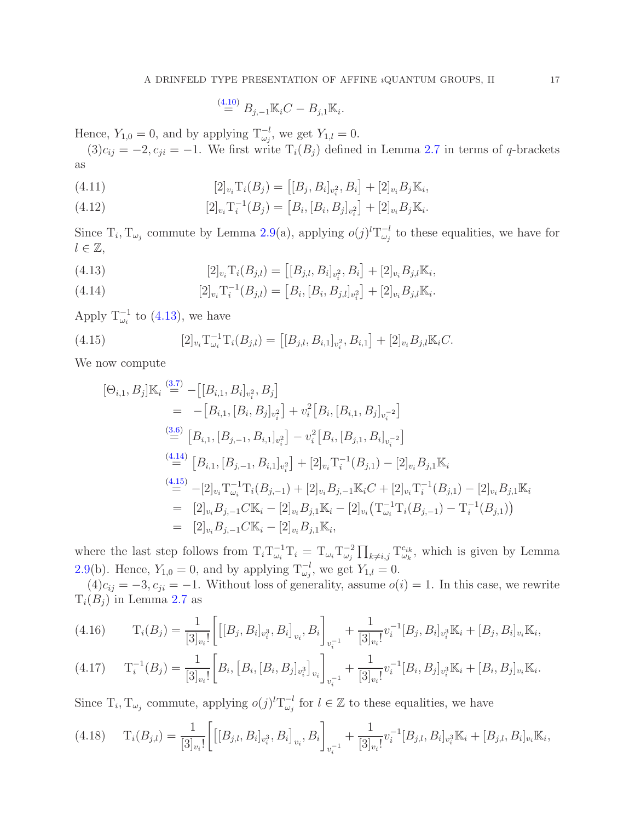$$
\stackrel{(4.10)}{=} B_{j,-1} \mathbb{K}_i C - B_{j,1} \mathbb{K}_i.
$$

Hence,  $Y_{1,0} = 0$ , and by applying  $T_{\omega_j}^{-l}$ , we get  $Y_{1,l} = 0$ .

 $(3)c_{ij} = -2, c_{ji} = -1.$  We first write  $T_i(B_j)$  defined in Lemma [2.7](#page-6-0) in terms of q-brackets as

(4.11) 
$$
[2]_{v_i}T_i(B_j) = [[B_j, B_i]_{v_i^2}, B_i] + [2]_{v_i}B_j\mathbb{K}_i,
$$

(4.12) 
$$
[2]_{v_i}T_i^{-1}(B_j) = [B_i, [B_i, B_j]_{v_i^2}] + [2]_{v_i}B_j\mathbb{K}_i.
$$

Since  $T_i, T_{\omega_j}$  commute by Lemma [2.9\(](#page-7-4)a), applying  $o(j)^l T_{\omega_j}^{-l}$  $\omega_j$ <sup>-*l*</sup> to these equalities, we have for  $l \in \mathbb{Z},$ 

<span id="page-16-0"></span>(4.13) 
$$
[2]_{v_i}T_i(B_{j,l}) = [[B_{j,l}, B_i]_{v_i^2}, B_i] + [2]_{v_i}B_{j,l}\mathbb{K}_i,
$$

<span id="page-16-1"></span>(4.14) 
$$
[2]_{v_i}T_i^{-1}(B_{j,l}) = [B_i, [B_i, B_{j,l}]_{v_i^2}] + [2]_{v_i}B_{j,l}\mathbb{K}_i.
$$

Apply  $T_{\omega_i}^{-1}$  to [\(4.13\)](#page-16-0), we have

(4.15) 
$$
[2]_{v_i}T_{\omega_i}^{-1}T_i(B_{j,l}) = [[B_{j,l}, B_{i,1}]_{v_i^2}, B_{i,1}] + [2]_{v_i}B_{j,l}\mathbb{K}_i C.
$$

We now compute

<span id="page-16-2"></span>
$$
[\Theta_{i,1}, B_j] \mathbb{K}_i \stackrel{(3.7)}{=} -[[B_{i,1}, B_i]_{v_i^2}, B_j]
$$
  
\n
$$
= -[B_{i,1}, [B_i, B_j]_{v_i^2}] + v_i^2 [B_i, [B_{i,1}, B_j]_{v_i^{-2}}]
$$
  
\n
$$
\stackrel{(3.6)}{=} [B_{i,1}, [B_{j,-1}, B_{i,1}]_{v_i^2}] - v_i^2 [B_i, [B_{j,1}, B_i]_{v_i^{-2}}]
$$
  
\n
$$
\stackrel{(4.14)}{=} [B_{i,1}, [B_{j,-1}, B_{i,1}]_{v_i^2}] + [2]_{v_i} \mathcal{T}_i^{-1} (B_{j,1}) - [2]_{v_i} B_{j,1} \mathbb{K}_i
$$
  
\n
$$
\stackrel{(4.15)}{=} -[2]_{v_i} \mathcal{T}_{\omega_i}^{-1} \mathcal{T}_i (B_{j,-1}) + [2]_{v_i} B_{j,-1} \mathbb{K}_i C + [2]_{v_i} \mathcal{T}_i^{-1} (B_{j,1}) - [2]_{v_i} B_{j,1} \mathbb{K}_i
$$
  
\n
$$
= [2]_{v_i} B_{j,-1} C \mathbb{K}_i - [2]_{v_i} B_{j,1} \mathbb{K}_i - [2]_{v_i} (\mathcal{T}_{\omega_i}^{-1} \mathcal{T}_i (B_{j,-1}) - \mathcal{T}_i^{-1} (B_{j,1}))
$$
  
\n
$$
= [2]_{v_i} B_{j,-1} C \mathbb{K}_i - [2]_{v_i} B_{j,1} \mathbb{K}_i,
$$

where the last step follows from  $T_i T_{\omega_i}^{-1} T_i = T_{\omega_i} T_{\omega_j}^{-2}$  $\omega_j^{-2} \prod_{k \neq i,j} \mathrm{T}_{\omega_k}^{c_{ik}}$  $\omega_k^{c_{ik}}$ , which is given by Lemma [2.9\(](#page-7-4)b). Hence,  $Y_{1,0} = 0$ , and by applying  $T_{\omega_j}^{-l}$ , we get  $Y_{1,l} = 0$ .

 $(4)c_{ij} = -3, c_{ji} = -1.$  Without loss of generality, assume  $o(i) = 1$ . In this case, we rewrite  $T_i(B_i)$  in Lemma [2.7](#page-6-0) as

$$
(4.16) \t\t T_i(B_j) = \frac{1}{[3]_{v_i}!} \left[ \left[ [B_j, B_i]_{v_i^3}, B_i \right]_{v_i}, B_i \right]_{v_i^{-1}} + \frac{1}{[3]_{v_i}!} v_i^{-1} [B_j, B_i]_{v_i^3} \mathbb{K}_i + [B_j, B_i]_{v_i} \mathbb{K}_i,
$$

$$
(4.17) \t\t T_i^{-1}(B_j) = \frac{1}{[3]_{v_i}!} \bigg[ B_i, [B_i, [B_i, B_j]_{v_i^3}]_{v_i} \bigg]_{v_i^{-1}} + \frac{1}{[3]_{v_i}!} v_i^{-1} [B_i, B_j]_{v_i^3} \mathbb{K}_i + [B_i, B_j]_{v_i} \mathbb{K}_i.
$$

Since  $T_i, T_{\omega_j}$  commute, applying  $o(j)^l T_{\omega_j}^{-l}$  $\overline{\omega}^l_{\omega_j}$  for  $l \in \mathbb{Z}$  to these equalities, we have

$$
(4.18)\qquad T_i(B_{j,l}) = \frac{1}{[3]_{v_i}!} \bigg[ \big[[B_{j,l}, B_i]_{v_i^3}, B_i\big]_{v_i}, B_i \bigg]_{v_i^{-1}} + \frac{1}{[3]_{v_i}!} v_i^{-1} [B_{j,l}, B_i]_{v_i^3} \mathbb{K}_i + [B_{j,l}, B_i]_{v_i} \mathbb{K}_i,
$$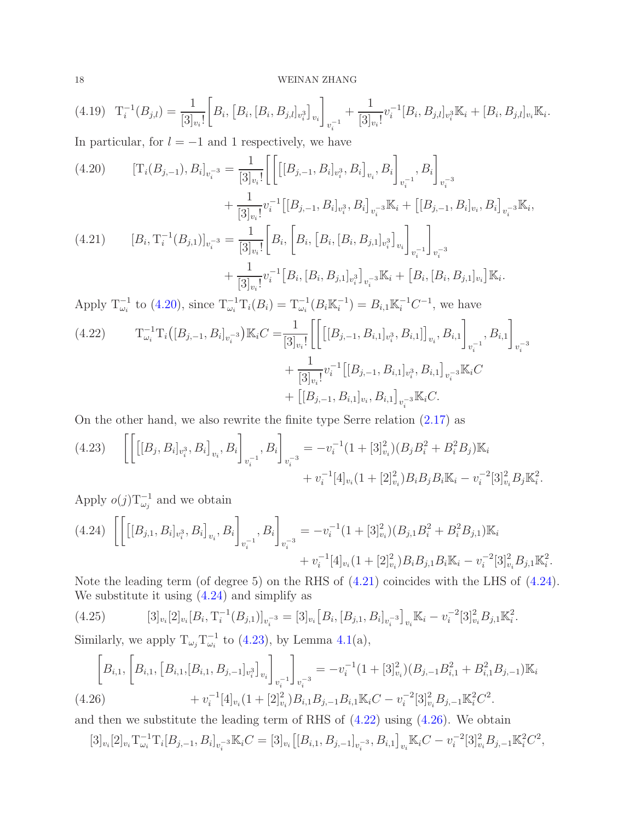$$
(4.19) \quad T_i^{-1}(B_{j,l}) = \frac{1}{[3]_{v_i}!} \bigg[ B_i, [B_i, [B_i, B_{j,l}]_{v_i^3}]_{v_i} \bigg]_{v_i^{-1}} + \frac{1}{[3]_{v_i}!} v_i^{-1} [B_i, B_{j,l}]_{v_i^3} \mathbb{K}_i + [B_i, B_{j,l}]_{v_i} \mathbb{K}_i.
$$

In particular, for  $l = -1$  and 1 respectively, we have

<span id="page-17-0"></span>(4.20) 
$$
[\mathbf{T}_{i}(B_{j,-1}), B_{i}]_{v_{i}^{-3}} = \frac{1}{[3]_{v_{i}}!} \Bigg[ \Big[ [[B_{j,-1}, B_{i}]_{v_{i}^{3}}, B_{i}]_{v_{i}}, B_{i} \Big]_{v_{i}^{-1}}, B_{i} \Bigg]_{v_{i}^{-3}} + \frac{1}{[3]_{v_{i}}!} v_{i}^{-1} \Big[ [B_{j,-1}, B_{i}]_{v_{i}^{3}}, B_{i} \Big]_{v_{i}^{-3}} \mathbb{K}_{i} + \Big[ [B_{j,-1}, B_{i}]_{v_{i}}, B_{i} \Big]_{v_{i}^{-3}} \mathbb{K}_{i},
$$
  
(4.21) 
$$
[B_{i}, \mathbf{T}_{i}^{-1}(B_{j,1})]_{v_{i}^{-3}} = \frac{1}{[3]_{v_{i}}!} \Bigg[ B_{i}, \Bigg[ B_{i}, \Big[ B_{i}, [B_{i}, B_{j,1}]_{v_{i}^{3}} \Big]_{v_{i}} \Bigg]_{v_{i}^{-1}} \Bigg]_{v_{i}^{-3}} + \frac{1}{[3]_{v_{i}}!} v_{i}^{-1} \Bigg[ B_{i}, \Big[ B_{i}, [B_{i}, B_{j,1}]_{v_{i}^{3}} \Big]_{v_{i}^{-3}} \mathbb{K}_{i} + \Big[ B_{i}, [B_{i}, B_{j,1}]_{v_{i}} \Big] \mathbb{K}_{i}.
$$

<span id="page-17-1"></span>Apply  $T_{\omega_i}^{-1}$  to [\(4.20\)](#page-17-0), since  $T_{\omega_i}^{-1}T_i(B_i) = T_{\omega_i}^{-1}(B_i \mathbb{K}_i^{-1})$  $j_i^{-1}$ ) =  $B_{i,1}$ K $i^{-1}$ C<sup>-1</sup>, we have

<span id="page-17-4"></span>
$$
(4.22) \t T_{\omega_i}^{-1} T_i \Big( [B_{j,-1}, B_i]_{v_i^{-3}} \Big) \mathbb{K}_i C = \frac{1}{[3]_{v_i}!} \Bigg[ \Big[ \big[ [B_{j,-1}, B_{i,1}]_{v_i^3}, B_{i,1} \big] \Big]_{v_i}, B_{i,1} \Bigg]_{v_i^{-1}}, B_{i,1} \Bigg]_{v_i^{-3}} + \frac{1}{[3]_{v_i}!} v_i^{-1} \big[ [B_{j,-1}, B_{i,1}]_{v_i^3}, B_{i,1} \big]_{v_i^{-3}} \mathbb{K}_i C + \big[ [B_{j,-1}, B_{i,1}]_{v_i}, B_{i,1} \big]_{v_i^{-3}} \mathbb{K}_i C.
$$

On the other hand, we also rewrite the finite type Serre relation [\(2.17\)](#page-5-6) as

<span id="page-17-3"></span>
$$
(4.23) \quad \left[ \left[ \left[ [B_j, B_i]_{v_i^3}, B_i \right]_{v_i}, B_i \right]_{v_i^{-1}}, B_i \right]_{v_i^{-3}} = -v_i^{-1} (1 + [3]_{v_i}^2) (B_j B_i^2 + B_i^2 B_j) \mathbb{K}_i + v_i^{-1} [4]_{v_i} (1 + [2]_{v_i}^2) B_i B_j B_i \mathbb{K}_i - v_i^{-2} [3]_{v_i}^2 B_j \mathbb{K}_i^2.
$$

Apply  $o(j)T_{\omega_j}^{-1}$  and we obtain

<span id="page-17-2"></span>
$$
(4.24) \left[ \left[ \left[ [B_{j,1}, B_i]_{v_i^3}, B_i \right]_{v_i}, B_i \right]_{v_i^{-1}}, B_i \right]_{v_i^{-3}} = -v_i^{-1} (1 + [3]_{v_i}^2) (B_{j,1} B_i^2 + B_i^2 B_{j,1}) \mathbb{K}_i + v_i^{-1} [4]_{v_i} (1 + [2]_{v_i}^2) B_i B_{j,1} B_i \mathbb{K}_i - v_i^{-2} [3]_{v_i}^2 B_{j,1} \mathbb{K}_i^2.
$$

Note the leading term (of degree 5) on the RHS of [\(4.21\)](#page-17-1) coincides with the LHS of [\(4.24\)](#page-17-2). We substitute it using  $(4.24)$  and simplify as

<span id="page-17-6"></span>
$$
(4.25) \qquad [3]_{v_i}[2]_{v_i}[B_i, T_i^{-1}(B_{j,1})]_{v_i^{-3}} = [3]_{v_i}[B_i, [B_{j,1}, B_i]_{v_i^{-3}}]_{v_i} \mathbb{K}_i - v_i^{-2}[3]_{v_i}^2 B_{j,1} \mathbb{K}_i^2.
$$

Similarly, we apply  $T_{\omega_j} T_{\omega_i}^{-1}$  to [\(4.23\)](#page-17-3), by Lemma [4.1\(](#page-13-2)a),

$$
\[B_{i,1},\left[B_{i,1},\left[B_{i,1},\left[B_{i,1},B_{j,-1}\right]_{v_i^3}\right]_{v_i}\right]_{v_i}\]_{v_i^{-1}}\]_{v_i^{-3}} = -v_i^{-1}(1+[3]_{v_i}^2)(B_{j,-1}B_{i,1}^2+B_{i,1}^2B_{j,-1})\mathbb{K}_i
$$
\n
$$
(4.26) \qquad \qquad + v_i^{-1}[4]_{v_i}(1+[2]_{v_i}^2)B_{i,1}B_{j,-1}B_{i,1}\mathbb{K}_iC - v_i^{-2}[3]_{v_i}^2B_{j,-1}\mathbb{K}_i^2C^2.
$$

<span id="page-17-5"></span>and then we substitute the leading term of RHS of [\(4.22\)](#page-17-4) using [\(4.26\)](#page-17-5). We obtain

$$
[3]_{v_i}[2]_{v_i}T_{\omega_i}^{-1}T_i[B_{j,-1},B_i]_{v_i^{-3}}\mathbb{K}_iC=[3]_{v_i}\big[[B_{i,1},B_{j,-1}]_{v_i^{-3}},B_{i,1}\big]_{v_i}\mathbb{K}_iC-v_i^{-2}[3]_{v_i}^2B_{j,-1}\mathbb{K}_i^2C^2,
$$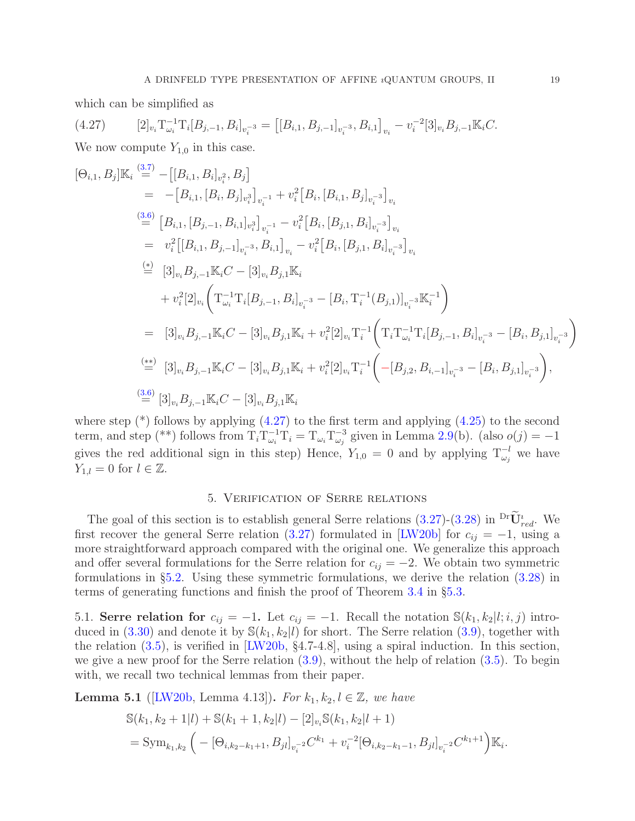which can be simplified as

<span id="page-18-2"></span>
$$
(4.27) \qquad [2]_{v_i} \mathcal{T}^{-1}_{\omega_i} \mathcal{T}_i[B_{j,-1}, B_i]_{v_i^{-3}} = \left[ [B_{i,1}, B_{j,-1}]_{v_i^{-3}}, B_{i,1} \right]_{v_i} - v_i^{-2} [3]_{v_i} B_{j,-1} \mathbb{K}_i C.
$$

We now compute  $Y_{1,0}$  in this case.

$$
[\Theta_{i,1}, B_j] \mathbb{K}_i \stackrel{(3.7)}{=} -[[B_{i,1}, B_i]_{v_i^2}, B_j]
$$
\n
$$
= -[B_{i,1}, [B_i, B_j]_{v_i^3}]_{v_i^{-1}} + v_i^2 [B_i, [B_{i,1}, B_j]_{v_i^{-3}}]_{v_i}
$$
\n
$$
\stackrel{(3.6)}{=} [B_{i,1}, [B_{j,-1}, B_{i,1}]_{v_i^3}]_{v_i^{-1}} - v_i^2 [B_i, [B_{j,1}, B_i]_{v_i^{-3}}]_{v_i}
$$
\n
$$
= v_i^2 [[B_{i,1}, B_{j,-1}]_{v_i^{-3}}, B_{i,1}]_{v_i} - v_i^2 [B_i, [B_{j,1}, B_i]_{v_i^{-3}}]_{v_i}
$$
\n
$$
\stackrel{(4)}{=} [3]_{v_i} B_{j,-1} \mathbb{K}_i C - [3]_{v_i} B_{j,1} \mathbb{K}_i
$$
\n
$$
+ v_i^2 [2]_{v_i} \left( T_{\omega_i}^{-1} T_i [B_{j,-1}, B_i]_{v_i^{-3}} - [B_i, T_i^{-1} (B_{j,1})]_{v_i^{-3}} \mathbb{K}_i^{-1} \right)
$$
\n
$$
= [3]_{v_i} B_{j,-1} \mathbb{K}_i C - [3]_{v_i} B_{j,1} \mathbb{K}_i + v_i^2 [2]_{v_i} T_i^{-1} \left( T_i T_{\omega_i}^{-1} T_i [B_{j,-1}, B_i]_{v_i^{-3}} - [B_i, B_{j,1}]_{v_i^{-3}} \right)
$$
\n
$$
\stackrel{(**)}{=} [3]_{v_i} B_{j,-1} \mathbb{K}_i C - [3]_{v_i} B_{j,1} \mathbb{K}_i + v_i^2 [2]_{v_i} T_i^{-1} \left( -[B_{j,2}, B_{i,-1}]_{v_i^{-3}} - [B_i, B_{j,1}]_{v_i^{-3}} \right),
$$
\n
$$
\stackrel{(3.6)}{=} [3]_{v_i} B_{j,-1} \mathbb{K}_i C - [3]_{v_i} B_{j,1} \mathbb{K}_i
$$

where step  $(*)$  follows by applying  $(4.27)$  to the first term and applying  $(4.25)$  to the second term, and step (\*\*) follows from  $T_i T_{\omega_i}^{-1} T_i = T_{\omega_i} T_{\omega_j}^{-3}$  given in Lemma [2.9\(](#page-7-4)b). (also  $o(j) = -1$ gives the red additional sign in this step) Hence,  $Y_{1,0} = 0$  and by applying  $T_{\omega_j}^{-l}$  we have  $Y_{1,l} = 0$  for  $l \in \mathbb{Z}$ .

## 5. Verification of Serre relations

<span id="page-18-0"></span>The goal of this section is to establish general Serre relations  $(3.27)-(3.28)$  $(3.27)-(3.28)$  in  $\mathrm{PrU}_{red}^i$ . We first recover the general Serre relation [\(3.27\)](#page-11-0) formulated in [\[LW20b\]](#page-24-10) for  $c_{ij} = -1$ , using a more straightforward approach compared with the original one. We generalize this approach and offer several formulations for the Serre relation for  $c_{ij} = -2$ . We obtain two symmetric formulations in §[5.2.](#page-20-0) Using these symmetric formulations, we derive the relation [\(3.28\)](#page-11-1) in terms of generating functions and finish the proof of Theorem [3.4](#page-11-2) in §[5.3.](#page-22-0)

<span id="page-18-1"></span>5.1. Serre relation for  $c_{ij} = -1$ . Let  $c_{ij} = -1$ . Recall the notation  $\mathbb{S}(k_1, k_2 | i, i, j)$  intro-duced in [\(3.30\)](#page-12-2) and denote it by  $\mathcal{S}(k_1, k_2|l)$  for short. The Serre relation [\(3.9\)](#page-8-5), together with the relation [\(3.5\)](#page-8-0), is verified in [\[LW20b,](#page-24-10) §4.7-4.8], using a spiral induction. In this section, we give a new proof for the Serre relation [\(3.9\)](#page-8-5), without the help of relation [\(3.5\)](#page-8-0). To begin with, we recall two technical lemmas from their paper.

<span id="page-18-3"></span>**Lemma 5.1** ([\[LW20b,](#page-24-10) Lemma 4.13]). For  $k_1, k_2, l \in \mathbb{Z}$ , we have

$$
\begin{split} \mathbb{S}(k_1, k_2 + 1|l) + \mathbb{S}(k_1 + 1, k_2|l) - [2]_{v_i} \mathbb{S}(k_1, k_2|l+1) \\ &= \text{Sym}_{k_1, k_2} \left( -[\Theta_{i,k_2 - k_1 + 1}, B_{jl}]_{v_i^{-2}} C^{k_1} + v_i^{-2} [\Theta_{i,k_2 - k_1 - 1}, B_{jl}]_{v_i^{-2}} C^{k_1 + 1} \right) \mathbb{K}_i. \end{split}
$$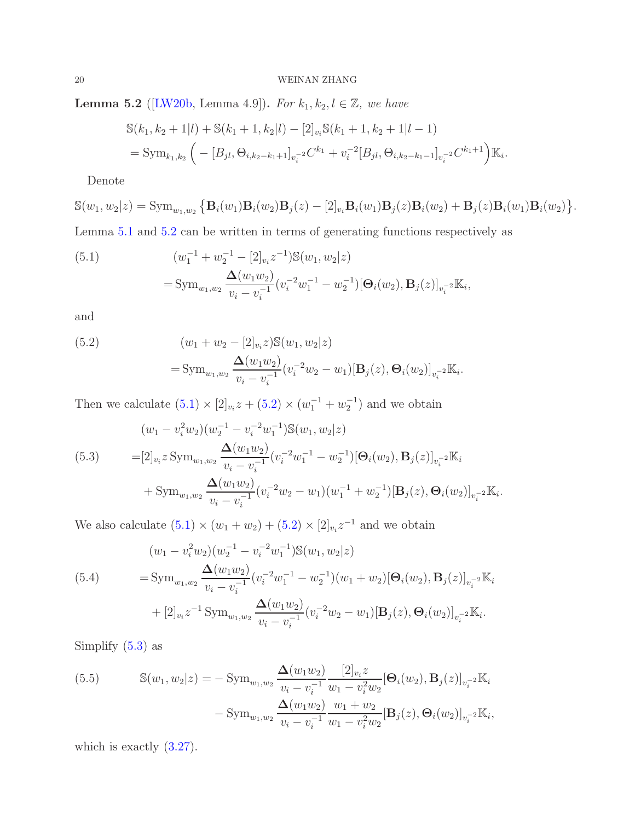<span id="page-19-0"></span>**Lemma 5.2** ([\[LW20b,](#page-24-10) Lemma 4.9]). For  $k_1, k_2, l \in \mathbb{Z}$ , we have

$$
S(k_1, k_2 + 1|l) + S(k_1 + 1, k_2|l) - [2]_{v_i} S(k_1 + 1, k_2 + 1|l - 1)
$$
  
= Sym<sub>k\_1, k\_2</sub>  $\left( -[B_{jl}, \Theta_{i,k_2 - k_1 + 1}]_{v_i^{-2}} C^{k_1} + v_i^{-2} [B_{jl}, \Theta_{i,k_2 - k_1 - 1}]_{v_i^{-2}} C^{k_1 + 1} \right) \mathbb{K}_i.$ 

Denote

$$
\mathbb{S}(w_1,w_2|z) = \text{Sym}_{w_1,w_2} \left\{ \mathbf{B}_i(w_1) \mathbf{B}_i(w_2) \mathbf{B}_j(z) - [2]_{v_i} \mathbf{B}_i(w_1) \mathbf{B}_j(z) \mathbf{B}_i(w_2) + \mathbf{B}_j(z) \mathbf{B}_i(w_1) \mathbf{B}_i(w_2) \right\}.
$$

Lemma [5.1](#page-18-3) and [5.2](#page-19-0) can be written in terms of generating functions respectively as

<span id="page-19-1"></span>(5.1) 
$$
(w_1^{-1} + w_2^{-1} - [2]_{v_i} z^{-1}) \mathbb{S}(w_1, w_2 | z)
$$

$$
= \text{Sym}_{w_1, w_2} \frac{\Delta(w_1 w_2)}{v_i - v_i^{-1}} (v_i^{-2} w_1^{-1} - w_2^{-1}) [\Theta_i(w_2), \mathbf{B}_j(z)]_{v_i^{-2}} \mathbb{K}_i,
$$

and

<span id="page-19-2"></span>(5.2) 
$$
(w_1 + w_2 - [2]_{v_i} z) \mathbb{S}(w_1, w_2 | z)
$$

$$
= \text{Sym}_{w_1, w_2} \frac{\Delta(w_1 w_2)}{v_i - v_i^{-1}} (v_i^{-2} w_2 - w_1) [\mathbf{B}_j(z), \mathbf{\Theta}_i(w_2)]_{v_i^{-2}} \mathbb{K}_i.
$$

Then we calculate  $(5.1) \times [2]_{v_i} z + (5.2) \times (w_1^{-1} + w_2^{-1})$  $(5.1) \times [2]_{v_i} z + (5.2) \times (w_1^{-1} + w_2^{-1})$  $(5.1) \times [2]_{v_i} z + (5.2) \times (w_1^{-1} + w_2^{-1})$  and we obtain

<span id="page-19-3"></span>
$$
(w_1 - v_i^2 w_2)(w_2^{-1} - v_i^{-2} w_1^{-1}) \mathbb{S}(w_1, w_2 | z)
$$
  
\n
$$
= [2]_{v_i} z \operatorname{Sym}_{w_1, w_2} \frac{\Delta(w_1 w_2)}{v_i - v_i^{-1}} (v_i^{-2} w_1^{-1} - w_2^{-1}) [\Theta_i(w_2), \mathbf{B}_j(z)]_{v_i^{-2}} \mathbb{K}_i
$$
  
\n
$$
+ \operatorname{Sym}_{w_1, w_2} \frac{\Delta(w_1 w_2)}{v_i - v_i^{-1}} (v_i^{-2} w_2 - w_1)(w_1^{-1} + w_2^{-1}) [\mathbf{B}_j(z), \Theta_i(w_2)]_{v_i^{-2}} \mathbb{K}_i.
$$

We also calculate  $(5.1) \times (w_1 + w_2) + (5.2) \times [2]_{v_i} z^{-1}$  $(5.1) \times (w_1 + w_2) + (5.2) \times [2]_{v_i} z^{-1}$  $(5.1) \times (w_1 + w_2) + (5.2) \times [2]_{v_i} z^{-1}$  and we obtain

(5.4)  
\n
$$
(w_1 - v_i^2 w_2)(w_2^{-1} - v_i^{-2} w_1^{-1}) \mathbb{S}(w_1, w_2 | z)
$$
\n
$$
= \text{Sym}_{w_1, w_2} \frac{\Delta(w_1 w_2)}{v_i - v_1^{-1}} (v_i^{-2} w_1^{-1} - w_2^{-1}) (w_1 + w_2) [\Theta_i(w_2), \mathbf{B}_j(z)]_{v_i^{-2}} \mathbb{K}_i
$$
\n
$$
+ [2]_{v_i} z^{-1} \text{Sym}_{w_1, w_2} \frac{\Delta(w_1 w_2)}{v_i - v_1^{-1}} (v_i^{-2} w_2 - w_1) [\mathbf{B}_j(z), \Theta_i(w_2)]_{v_i^{-2}} \mathbb{K}_i.
$$

Simplify  $(5.3)$  as

(5.5) 
$$
\mathbb{S}(w_1, w_2|z) = -\operatorname{Sym}_{w_1, w_2} \frac{\Delta(w_1 w_2)}{v_i - v_i^{-1}} \frac{[2]_{v_i} z}{w_1 - v_i^2 w_2} [\Theta_i(w_2), \mathbf{B}_j(z)]_{v_i^{-2}} \mathbb{K}_i - \operatorname{Sym}_{w_1, w_2} \frac{\Delta(w_1 w_2)}{v_i - v_i^{-1}} \frac{w_1 + w_2}{w_1 - v_i^2 w_2} [\mathbf{B}_j(z), \Theta_i(w_2)]_{v_i^{-2}} \mathbb{K}_i,
$$

which is exactly  $(3.27)$ .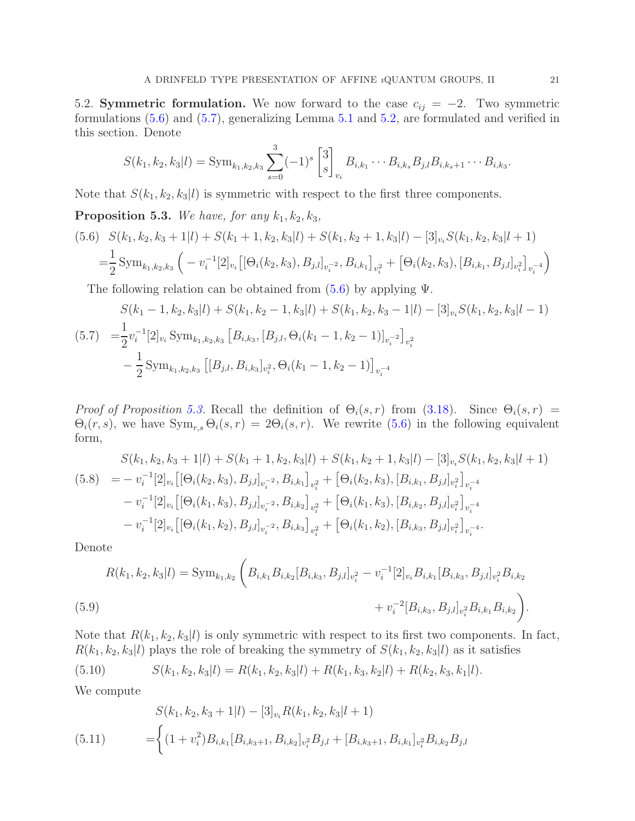<span id="page-20-0"></span>5.2. Symmetric formulation. We now forward to the case  $c_{ij} = -2$ . Two symmetric formulations [\(5.6\)](#page-20-1) and [\(5.7\)](#page-20-2), generalizing Lemma [5.1](#page-18-3) and [5.2,](#page-19-0) are formulated and verified in this section. Denote

$$
S(k_1,k_2,k_3|l) = \operatorname{Sym}_{k_1,k_2,k_3} \sum_{s=0}^3 (-1)^s \begin{bmatrix} 3 \\ s \end{bmatrix}_{v_i} B_{i,k_1} \cdots B_{i,k_s} B_{j,l} B_{i,k_s+1} \cdots B_{i,k_3}.
$$

Note that  $S(k_1, k_2, k_3|l)$  is symmetric with respect to the first three components.

<span id="page-20-3"></span>**Proposition 5.3.** We have, for any  $k_1, k_2, k_3$ ,

<span id="page-20-1"></span>
$$
(5.6) \quad S(k_1, k_2, k_3 + 1|l) + S(k_1 + 1, k_2, k_3|l) + S(k_1, k_2 + 1, k_3|l) - [3]_{v_i} S(k_1, k_2, k_3|l + 1)
$$
  
=  $\frac{1}{2}$  Sym<sub>k\_1, k\_2, k\_3</sub>  $\left( -v_i^{-1}[2]_{v_i} \left[ [\Theta_i(k_2, k_3), B_{j,l}]_{v_i^{-2}}, B_{i,k_1} \right]_{v_i^2} + [\Theta_i(k_2, k_3), [B_{i,k_1}, B_{j,l}]_{v_i^{-2}}]_{v_i^{-4}} \right)$ 

The following relation can be obtained from  $(5.6)$  by applying  $\Psi$ .

<span id="page-20-2"></span>
$$
S(k_1 - 1, k_2, k_3 | l) + S(k_1, k_2 - 1, k_3 | l) + S(k_1, k_2, k_3 - 1 | l) - [3]_{v_i} S(k_1, k_2, k_3 | l - 1)
$$
  
(5.7) 
$$
= \frac{1}{2} v_i^{-1} [2]_{v_i} \text{Sym}_{k_1, k_2, k_3} [B_{i,k_3}, [B_{j,l}, \Theta_i(k_1 - 1, k_2 - 1)]_{v_i^{-2}}]_{v_i^2}
$$

$$
- \frac{1}{2} \text{Sym}_{k_1, k_2, k_3} [[B_{j,l}, B_{i,k_3}]_{v_i^2}, \Theta_i(k_1 - 1, k_2 - 1)]_{v_i^{-4}}
$$

Proof of Proposition [5.3.](#page-20-3) Recall the definition of  $\Theta_i(s,r)$  from [\(3.18\)](#page-10-3). Since  $\Theta_i(s,r)$  =  $\Theta_i(r, s)$ , we have  $\text{Sym}_{r, s} \Theta_i(s, r) = 2\Theta_i(s, r)$ . We rewrite [\(5.6\)](#page-20-1) in the following equivalent form,

<span id="page-20-6"></span>
$$
S(k_1, k_2, k_3 + 1|l) + S(k_1 + 1, k_2, k_3|l) + S(k_1, k_2 + 1, k_3|l) - [3]_{v_i} S(k_1, k_2, k_3|l + 1)
$$
  
(5.8) 
$$
= -v_i^{-1}[2]_{v_i} \left[ [\Theta_i(k_2, k_3), B_{j,l}]_{v_i^{-2}}, B_{i,k_1} \right]_{v_i^2} + \left[ \Theta_i(k_2, k_3), [B_{i,k_1}, B_{j,l}]_{v_i^2} \right]_{v_i^{-4}}
$$

$$
- v_i^{-1}[2]_{v_i} \left[ [\Theta_i(k_1, k_3), B_{j,l}]_{v_i^{-2}}, B_{i,k_2} \right]_{v_i^2} + \left[ \Theta_i(k_1, k_3), [B_{i,k_2}, B_{j,l}]_{v_i^2} \right]_{v_i^{-4}}
$$

$$
- v_i^{-1}[2]_{v_i} \left[ [\Theta_i(k_1, k_2), B_{j,l}]_{v_i^{-2}}, B_{i,k_3} \right]_{v_i^2} + \left[ \Theta_i(k_1, k_2), [B_{i,k_3}, B_{j,l}]_{v_i^2} \right]_{v_i^{-4}}.
$$

Denote

$$
R(k_1, k_2, k_3 | l) = \text{Sym}_{k_1, k_2} \left( B_{i,k_1} B_{i,k_2} [B_{i,k_3}, B_{j,l}]_{v_i^2} - v_i^{-1} [2]_{v_i} B_{i,k_1} [B_{i,k_3}, B_{j,l}]_{v_i^2} B_{i,k_2} + v_i^{-2} [B_{i,k_3}, B_{j,l}]_{v_i^2} B_{i,k_1} B_{i,k_2} \right).
$$
\n(5.9)

Note that  $R(k_1, k_2, k_3|l)$  is only symmetric with respect to its first two components. In fact,  $R(k_1, k_2, k_3|l)$  plays the role of breaking the symmetry of  $S(k_1, k_2, k_3|l)$  as it satisfies

<span id="page-20-5"></span>(5.10) 
$$
S(k_1, k_2, k_3 | l) = R(k_1, k_2, k_3 | l) + R(k_1, k_3, k_2 | l) + R(k_2, k_3, k_1 | l).
$$

We compute

<span id="page-20-4"></span>(5.11) 
$$
S(k_1, k_2, k_3 + 1|l) - [3]_{v_i} R(k_1, k_2, k_3|l+1)
$$

$$
= \begin{cases} (1 + v_i^2) B_{i,k_1} [B_{i,k_3+1}, B_{i,k_2}]_{v_i^2} B_{j,l} + [B_{i,k_3+1}, B_{i,k_1}]_{v_i^2} B_{i,k_2} B_{j,l} \end{cases}
$$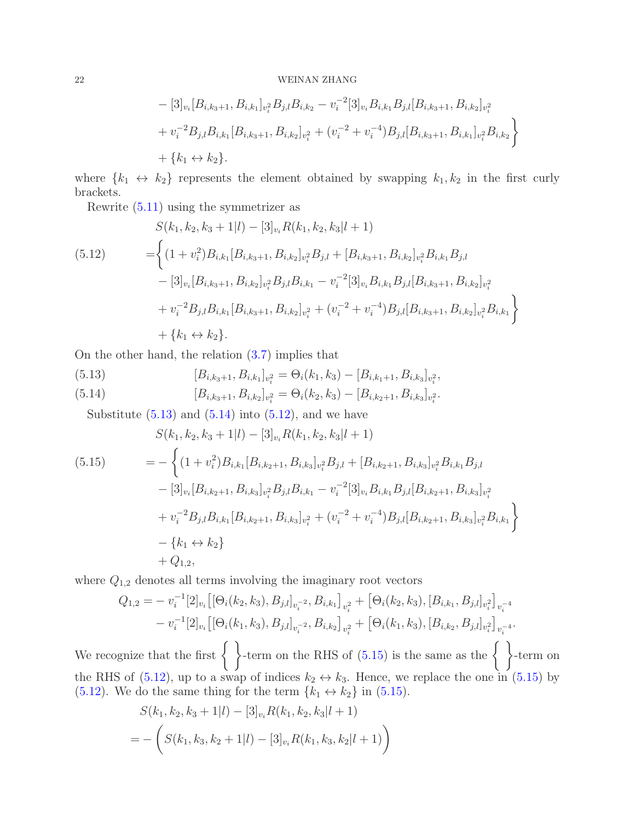### $22$   $\,$  WEINAN ZHANG  $\,$

$$
- [3]_{v_i} [B_{i,k_3+1}, B_{i,k_1}]_{v_i^2} B_{j,l} B_{i,k_2} - v_i^{-2} [3]_{v_i} B_{i,k_1} B_{j,l} [B_{i,k_3+1}, B_{i,k_2}]_{v_i^2}
$$
  
+  $v_i^{-2} B_{j,l} B_{i,k_1} [B_{i,k_3+1}, B_{i,k_2}]_{v_i^2} + (v_i^{-2} + v_i^{-4}) B_{j,l} [B_{i,k_3+1}, B_{i,k_1}]_{v_i^2} B_{i,k_2}$   
+  $\{k_1 \leftrightarrow k_2\}.$ 

where  $\{k_1 \leftrightarrow k_2\}$  represents the element obtained by swapping  $k_1, k_2$  in the first curly brackets.

Rewrite [\(5.11\)](#page-20-4) using the symmetrizer as

<span id="page-21-2"></span>
$$
S(k_1, k_2, k_3 + 1|l) - [3]_{v_i} R(k_1, k_2, k_3|l + 1)
$$
  
\n
$$
= \left\{ (1 + v_i^2) B_{i,k_1} [B_{i,k_3+1}, B_{i,k_2}]_{v_i^2} B_{j,l} + [B_{i,k_3+1}, B_{i,k_2}]_{v_i^2} B_{i,k_1} B_{j,l} - [3]_{v_i} [B_{i,k_3+1}, B_{i,k_2}]_{v_i^2} B_{j,l} B_{i,k_1} - v_i^{-2} [3]_{v_i} B_{i,k_1} B_{j,l} [B_{i,k_3+1}, B_{i,k_2}]_{v_i^2} + v_i^{-2} B_{j,l} B_{i,k_1} [B_{i,k_3+1}, B_{i,k_2}]_{v_i^2} + (v_i^{-2} + v_i^{-4}) B_{j,l} [B_{i,k_3+1}, B_{i,k_2}]_{v_i^2} B_{i,k_1} \right\}
$$
  
\n
$$
+ \{k_1 \leftrightarrow k_2\}.
$$

On the other hand, the relation [\(3.7\)](#page-8-9) implies that

<span id="page-21-1"></span><span id="page-21-0"></span>(5.13) 
$$
[B_{i,k_3+1}, B_{i,k_1}]_{v_i^2} = \Theta_i(k_1, k_3) - [B_{i,k_1+1}, B_{i,k_3}]_{v_i^2},
$$

$$
[B_{i,k_3+1}, B_{i,k_2}]_{v_i^2} = \Theta_i(k_2, k_3) - [B_{i,k_2+1}, B_{i,k_3}]_{v_i^2}.
$$

Substitute  $(5.13)$  and  $(5.14)$  into  $(5.12)$ , and we have

<span id="page-21-3"></span>
$$
S(k_1, k_2, k_3 + 1|l) - [3]_{v_i} R(k_1, k_2, k_3|l + 1)
$$
  
\n
$$
= -\left\{ (1 + v_i^2) B_{i,k_1} [B_{i,k_2+1}, B_{i,k_3}]_{v_i^2} B_{j,l} + [B_{i,k_2+1}, B_{i,k_3}]_{v_i^2} B_{i,k_1} B_{j,l} - [3]_{v_i} [B_{i,k_2+1}, B_{i,k_3}]_{v_i^2} B_{j,l} B_{i,k_1} - v_i^{-2} [3]_{v_i} B_{i,k_1} B_{j,l} [B_{i,k_2+1}, B_{i,k_3}]_{v_i^2} + v_i^{-2} B_{j,l} B_{i,k_1} [B_{i,k_2+1}, B_{i,k_3}]_{v_i^2} + (v_i^{-2} + v_i^{-4}) B_{j,l} [B_{i,k_2+1}, B_{i,k_3}]_{v_i^2} B_{i,k_1} \right\}
$$
  
\n
$$
- \left\{ k_1 \leftrightarrow k_2 \right\}
$$
  
\n+  $Q_{1,2}$ ,

where  $Q_{1,2}$  denotes all terms involving the imaginary root vectors

$$
Q_{1,2} = -v_i^{-1}[2]_{v_i} \left[ [\Theta_i(k_2, k_3), B_{j,l}]_{v_i^{-2}}, B_{i,k_1} \right]_{v_i^2} + \left[ \Theta_i(k_2, k_3), [B_{i,k_1}, B_{j,l}]_{v_i^2} \right]_{v_i^{-4}} - v_i^{-1}[2]_{v_i} \left[ [\Theta_i(k_1, k_3), B_{j,l}]_{v_i^{-2}}, B_{i,k_2} \right]_{v_i^2} + \left[ \Theta_i(k_1, k_3), [B_{i,k_2}, B_{j,l}]_{v_i^2} \right]_{v_i^{-4}}.
$$

We recognize that the first  $\left\{\right. \right\}$ -term on the RHS of [\(5.15\)](#page-21-3) is the same as the  $\left\{\right\}$ -term on the RHS of [\(5.12\)](#page-21-2), up to a swap of indices  $k_2 \leftrightarrow k_3$ . Hence, we replace the one in [\(5.15\)](#page-21-3) by [\(5.12\)](#page-21-2). We do the same thing for the term  ${k_1 \leftrightarrow k_2}$  in [\(5.15\)](#page-21-3).

$$
S(k_1, k_2, k_3 + 1|l) - [3]_{v_i} R(k_1, k_2, k_3|l + 1)
$$
  
= 
$$
- \left( S(k_1, k_3, k_2 + 1|l) - [3]_{v_i} R(k_1, k_3, k_2|l + 1) \right)
$$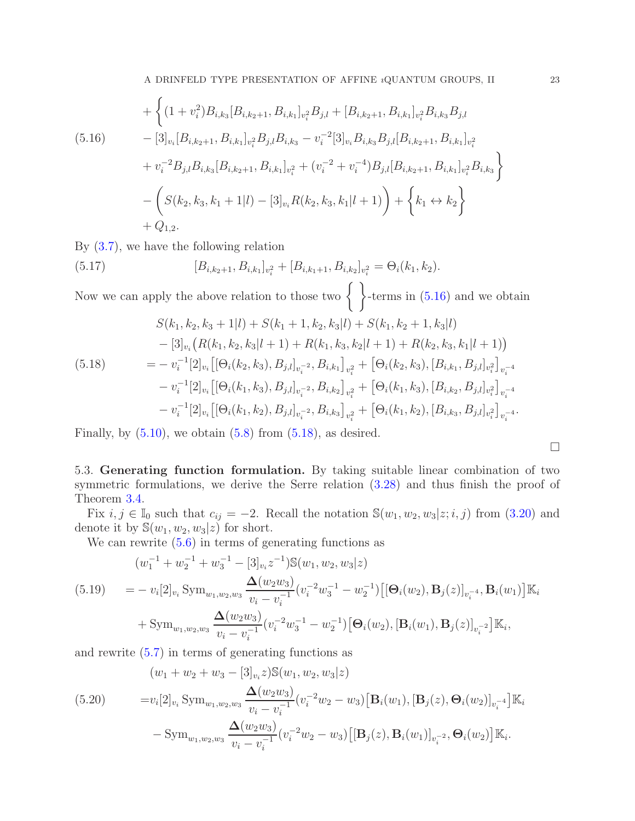<span id="page-22-1"></span>
$$
+\left\{ (1+v_i^2)B_{i,k_3}[B_{i,k_2+1},B_{i,k_1}]_{v_i^2}B_{j,l}+[B_{i,k_2+1},B_{i,k_1}]_{v_i^2}B_{i,k_3}B_{j,l} -[3]_{v_i}[B_{i,k_2+1},B_{i,k_1}]_{v_i^2}B_{j,l}B_{i,k_3}-v_i^{-2}[3]_{v_i}B_{i,k_3}B_{j,l}[B_{i,k_2+1},B_{i,k_1}]_{v_i^2} +v_i^{-2}B_{j,l}B_{i,k_3}[B_{i,k_2+1},B_{i,k_1}]_{v_i^2}+(v_i^{-2}+v_i^{-4})B_{j,l}[B_{i,k_2+1},B_{i,k_1}]_{v_i^2}B_{i,k_3} \right\} -\left(S(k_2,k_3,k_1+1|l)-[3]_{v_i}R(k_2,k_3,k_1|l+1)\right)+\left\{k_1\leftrightarrow k_2\right\} +Q_{1,2}.
$$

By [\(3.7\)](#page-8-9), we have the following relation

(5.17) 
$$
[B_{i,k_2+1}, B_{i,k_1}]_{v_i^2} + [B_{i,k_1+1}, B_{i,k_2}]_{v_i^2} = \Theta_i(k_1, k_2).
$$

Now we can apply the above relation to those two  $\{ \}$ -terms in [\(5.16\)](#page-22-1) and we obtain

<span id="page-22-2"></span>
$$
S(k_1, k_2, k_3 + 1|l) + S(k_1 + 1, k_2, k_3|l) + S(k_1, k_2 + 1, k_3|l)
$$
  
\n
$$
- [3]_{v_i} (R(k_1, k_2, k_3|l + 1) + R(k_1, k_3, k_2|l + 1) + R(k_2, k_3, k_1|l + 1))
$$
  
\n
$$
= -v_i^{-1} [2]_{v_i} [[\Theta_i(k_2, k_3), B_{j,l}]_{v_i^{-2}}, B_{i,k_1}]_{v_i^2} + [\Theta_i(k_2, k_3), [B_{i,k_1}, B_{j,l}]_{v_i^2}]_{v_i^{-4}}
$$
  
\n
$$
- v_i^{-1} [2]_{v_i} [[\Theta_i(k_1, k_3), B_{j,l}]_{v_i^{-2}}, B_{i,k_2}]_{v_i^2} + [\Theta_i(k_1, k_3), [B_{i,k_2}, B_{j,l}]_{v_i^2}]_{v_i^{-4}}
$$
  
\n
$$
- v_i^{-1} [2]_{v_i} [[\Theta_i(k_1, k_2), B_{j,l}]_{v_i^{-2}}, B_{i,k_3}]_{v_i^2} + [\Theta_i(k_1, k_2), [B_{i,k_3}, B_{j,l}]_{v_i^2}]_{v_i^{-4}}.
$$

Finally, by  $(5.10)$ , we obtain  $(5.8)$  from  $(5.18)$ , as desired.

<span id="page-22-0"></span>5.3. Generating function formulation. By taking suitable linear combination of two symmetric formulations, we derive the Serre relation [\(3.28\)](#page-11-1) and thus finish the proof of Theorem [3.4.](#page-11-2)

Fix  $i, j \in \mathbb{I}_0$  such that  $c_{ij} = -2$ . Recall the notation  $\mathbb{S}(w_1, w_2, w_3 | z; i, j)$  from [\(3.20\)](#page-10-4) and denote it by  $\mathbb{S}(w_1, w_2, w_3|z)$  for short.

We can rewrite  $(5.6)$  in terms of generating functions as

$$
(w_1^{-1} + w_2^{-1} + w_3^{-1} - [3]_{v_i} z^{-1}) \mathbb{S}(w_1, w_2, w_3 | z)
$$

<span id="page-22-4"></span>
$$
(5.19) = -v_i[2]_{v_i} \operatorname{Sym}_{w_1, w_2, w_3} \frac{\Delta(w_2 w_3)}{v_i - v_i^{-1}} (v_i^{-2} w_3^{-1} - w_2^{-1}) \left[ [\Theta_i(w_2), \mathbf{B}_j(z)]_{v_i^{-4}}, \mathbf{B}_i(w_1) \right] \mathbb{K}_i
$$
\n
$$
\Delta(w_2 w_3)_{(v_1^{-2} w_3^{-1} - w_3^{-1})} [\mathbf{Q}_i(w_1) \mathbf{R}_i(w_1) \mathbf{R}_i(w_2)]_{v_i^{-4}} \mathbb{K}
$$

+Sym<sub>w<sub>1</sub>,w<sub>2</sub>,w<sub>3</sub></sub> 
$$
\frac{\Delta(w_2w_3)}{v_i - v_i^{-1}} (v_i^{-2}w_3^{-1} - w_2^{-1}) [\Theta_i(w_2), [\mathbf{B}_i(w_1), \mathbf{B}_j(z)]_{v_i^{-2}}] \mathbb{K}_i
$$
,

and rewrite [\(5.7\)](#page-20-2) in terms of generating functions as

<span id="page-22-3"></span>(5.20) 
$$
(w_1 + w_2 + w_3 - [3]_{v_i} z) \mathbb{S}(w_1, w_2, w_3 | z)
$$

$$
= v_i[2]_{v_i} \text{Sym}_{w_1, w_2, w_3} \frac{\Delta(w_2 w_3)}{v_i - v_i^{-1}} (v_i^{-2} w_2 - w_3) [\mathbf{B}_i(w_1), [\mathbf{B}_j(z), \Theta_i(w_2)]_{v_i^{-4}}] \mathbb{K}_i
$$

$$
- \text{Sym}_{w_1, w_2, w_3} \frac{\Delta(w_2 w_3)}{v_i - v_i^{-1}} (v_i^{-2} w_2 - w_3) [[\mathbf{B}_j(z), \mathbf{B}_i(w_1)]_{v_i^{-2}}, \Theta_i(w_2)] \mathbb{K}_i.
$$

 $\Box$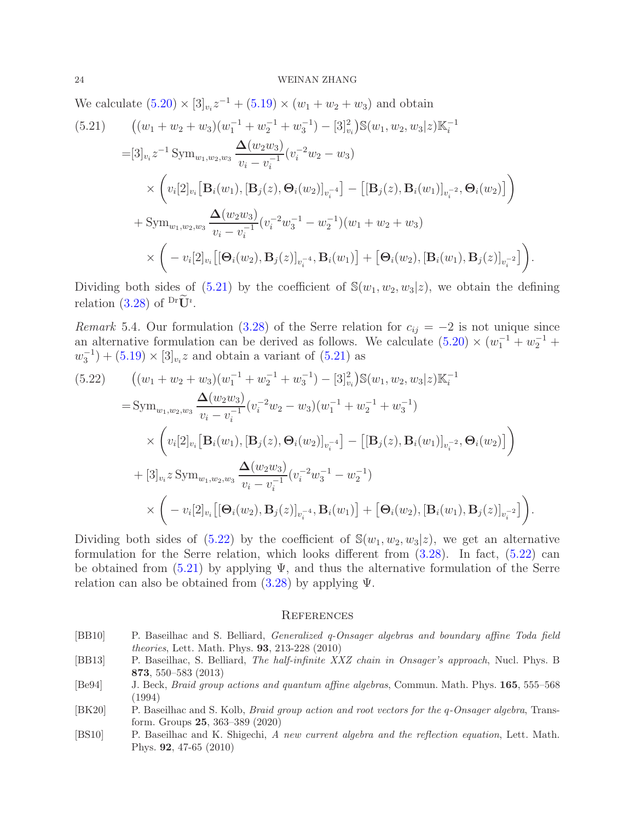We calculate  $(5.20) \times [3]_{v_i} z^{-1} + (5.19) \times (w_1 + w_2 + w_3)$  $(5.20) \times [3]_{v_i} z^{-1} + (5.19) \times (w_1 + w_2 + w_3)$  $(5.20) \times [3]_{v_i} z^{-1} + (5.19) \times (w_1 + w_2 + w_3)$  and obtain

<span id="page-23-6"></span>
$$
(5.21) \qquad ((w_1 + w_2 + w_3)(w_1^{-1} + w_2^{-1} + w_3^{-1}) - [3]_{v_i}^2) \mathbb{S}(w_1, w_2, w_3|z) \mathbb{K}_i^{-1}
$$
\n
$$
= [3]_{v_i} z^{-1} \text{Sym}_{w_1, w_2, w_3} \frac{\Delta(w_2 w_3)}{v_i - v_i^{-1}} (v_i^{-2} w_2 - w_3)
$$
\n
$$
\times \left( v_i[2]_{v_i} [\mathbf{B}_i(w_1), [\mathbf{B}_j(z), \mathbf{\Theta}_i(w_2)]_{v_i^{-4}}] - [[\mathbf{B}_j(z), \mathbf{B}_i(w_1)]_{v_i^{-2}}, \mathbf{\Theta}_i(w_2)] \right)
$$
\n
$$
+ \text{Sym}_{w_1, w_2, w_3} \frac{\Delta(w_2 w_3)}{v_i - v_i^{-1}} (v_i^{-2} w_3^{-1} - w_2^{-1}) (w_1 + w_2 + w_3)
$$
\n
$$
\times \left( -v_i[2]_{v_i} [[\mathbf{\Theta}_i(w_2), \mathbf{B}_j(z)]_{v_i^{-4}}, \mathbf{B}_i(w_1)] + [\mathbf{\Theta}_i(w_2), [\mathbf{B}_i(w_1), \mathbf{B}_j(z)]_{v_i^{-2}}] \right).
$$

Dividing both sides of  $(5.21)$  by the coefficient of  $\mathbb{S}(w_1, w_2, w_3|z)$ , we obtain the defining relation [\(3.28\)](#page-11-1) of  $\mathrm{PrU}^i$ .

Remark 5.4. Our formulation [\(3.28\)](#page-11-1) of the Serre relation for  $c_{ij} = -2$  is not unique since an alternative formulation can be derived as follows. We calculate  $(5.20) \times (w_1^{-1} + w_2^{-1} +$  $(w_3^{-1}) + (5.19) \times [3]_{v_i} z$  $(w_3^{-1}) + (5.19) \times [3]_{v_i} z$  $(w_3^{-1}) + (5.19) \times [3]_{v_i} z$  and obtain a variant of  $(5.21)$  as

<span id="page-23-7"></span>
$$
(5.22) \qquad ((w_1 + w_2 + w_3)(w_1^{-1} + w_2^{-1} + w_3^{-1}) - [3]_{v_i}^2) \mathbb{S}(w_1, w_2, w_3|z) \mathbb{K}_i^{-1}
$$
\n
$$
= \text{Sym}_{w_1, w_2, w_3} \frac{\Delta(w_2 w_3)}{v_i - v_i^{-1}} (v_i^{-2} w_2 - w_3)(w_1^{-1} + w_2^{-1} + w_3^{-1})
$$
\n
$$
\times \left( v_i[2]_{v_i} [\mathbf{B}_i(w_1), [\mathbf{B}_j(z), \mathbf{\Theta}_i(w_2)]_{v_i^{-4}}] - [[\mathbf{B}_j(z), \mathbf{B}_i(w_1)]_{v_i^{-2}}, \mathbf{\Theta}_i(w_2)] \right)
$$
\n
$$
+ [3]_{v_i} z \text{Sym}_{w_1, w_2, w_3} \frac{\Delta(w_2 w_3)}{v_i - v_i^{-1}} (v_i^{-2} w_3^{-1} - w_2^{-1})
$$
\n
$$
\times \left( -v_i[2]_{v_i} [[\mathbf{\Theta}_i(w_2), \mathbf{B}_j(z)]_{v_i^{-4}}, \mathbf{B}_i(w_1)] + [\mathbf{\Theta}_i(w_2), [\mathbf{B}_i(w_1), \mathbf{B}_j(z)]_{v_i^{-2}}] \right).
$$

Dividing both sides of  $(5.22)$  by the coefficient of  $\mathcal{S}(w_1, w_2, w_3|z)$ , we get an alternative formulation for the Serre relation, which looks different from [\(3.28\)](#page-11-1). In fact, [\(5.22\)](#page-23-7) can be obtained from  $(5.21)$  by applying  $\Psi$ , and thus the alternative formulation of the Serre relation can also be obtained from  $(3.28)$  by applying  $\Psi$ .

#### <span id="page-23-0"></span>**REFERENCES**

- <span id="page-23-3"></span>[BB10] P. Baseilhac and S. Belliard, Generalized q-Onsager algebras and boundary affine Toda field theories, Lett. Math. Phys. 93, 213-228 (2010)
- <span id="page-23-2"></span>[BB13] P. Baseilhac, S. Belliard, The half-infinite XXZ chain in Onsager's approach, Nucl. Phys. B 873, 550–583 (2013)
- <span id="page-23-1"></span>[Be94] J. Beck, Braid group actions and quantum affine algebras, Commun. Math. Phys. 165, 555–568 (1994)
- <span id="page-23-5"></span>[BK20] P. Baseilhac and S. Kolb, Braid group action and root vectors for the q-Onsager algebra, Transform. Groups 25, 363–389 (2020)
- <span id="page-23-4"></span>[BS10] P. Baseilhac and K. Shigechi, A new current algebra and the reflection equation, Lett. Math. Phys. 92, 47-65 (2010)